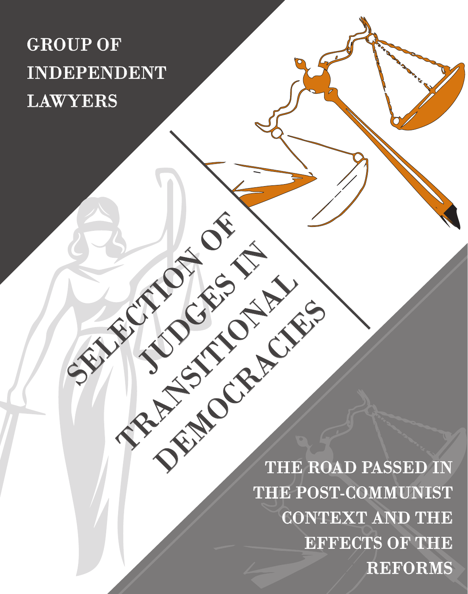## GROUP OF INDEPENDENT LAWYERS

SELECTION OF

JUDGES IN

TRANSITION AND

THE ROAD PASSED IN THE POST-COMMUNIST CONTEXT AND THE EFFECTS OF THE REFORMS DEMOCRACIES OF CHILER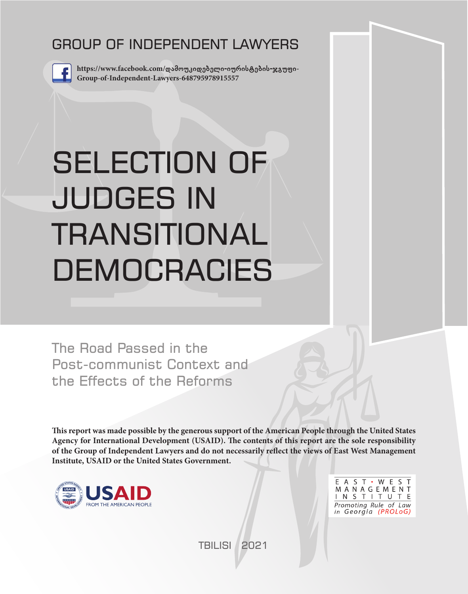## GROUP OF INDEPENDENT LAWYERS



**https://www.facebook.com/დამოუკიდებელი-იურისტების-ჯგუფი-Group-of-Independent-Lawyers-648795978915557**

# SELECTION OF JUDGES IN TRANSITIONAL **DEMOCRACIES**

The Road Passed in the Post-communist Context and the Effects of the Reforms

**This report was made possible by the generous support of the American People through the United States Agency for International Development (USAID). The contents of this report are the sole responsibility of the Group of Independent Lawyers and do not necessarily reflect the views of East West Management Institute, USAID or the United States Government.**



E A S T · W E S T MANAGEMENT INSTITUTE Promoting Rule of Law in Georgia (PROLoG)

TBILISI 2021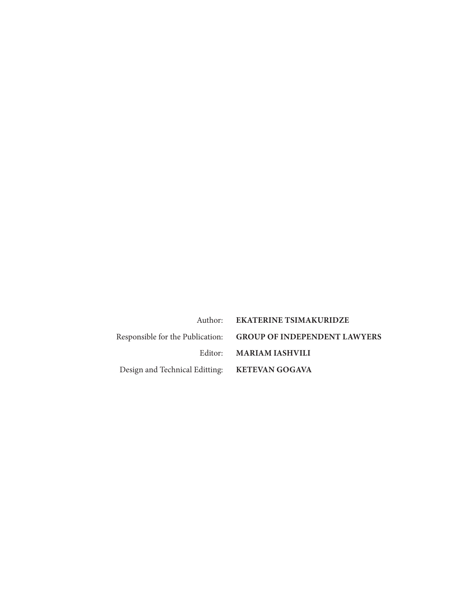|                                               | Author: EKATERINE TSIMAKURIDZE                                |
|-----------------------------------------------|---------------------------------------------------------------|
|                                               | Responsible for the Publication: GROUP OF INDEPENDENT LAWYERS |
|                                               | Editor: MARIAM IASHVILI                                       |
| Design and Technical Editting: KETEVAN GOGAVA |                                                               |
|                                               |                                                               |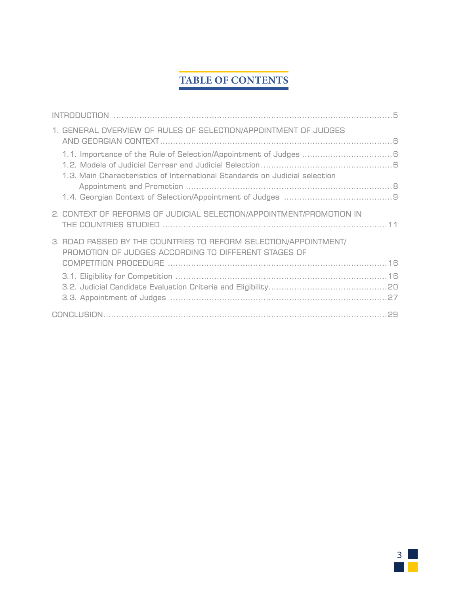## **TABLE OF CONTENTS**

| 1. GENERAL OVERVIEW OF RULES OF SELECTION/APPOINTMENT OF JUDGES                                                          |  |
|--------------------------------------------------------------------------------------------------------------------------|--|
| 1.3. Main Characteristics of International Standards on Judicial selection                                               |  |
|                                                                                                                          |  |
| 2. CONTEXT OF REFORMS OF JUDICIAL SELECTION/APPOINTMENT/PROMOTION IN                                                     |  |
| 3. ROAD PASSED BY THE COUNTRIES TO REFORM SELECTION/APPOINTMENT/<br>PROMOTION OF JUDGES ACCORDING TO DIFFERENT STAGES OF |  |
|                                                                                                                          |  |
|                                                                                                                          |  |
|                                                                                                                          |  |

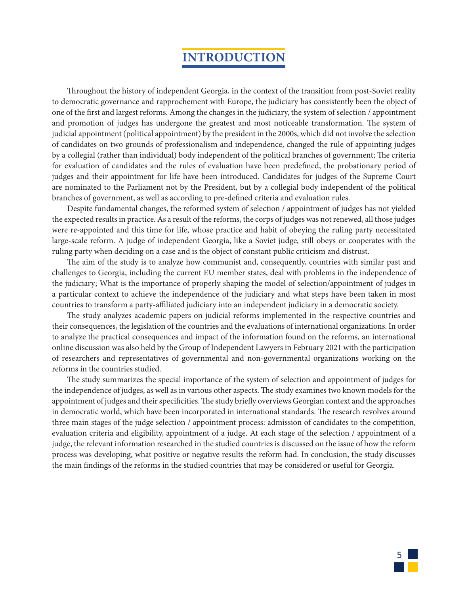## **INTRODUCTION**

Throughout the history of independent Georgia, in the context of the transition from post-Soviet reality to democratic governance and rapprochement with Europe, the judiciary has consistently been the object of one of the first and largest reforms. Among the changes in the judiciary, the system of selection / appointment and promotion of judges has undergone the greatest and most noticeable transformation. The system of judicial appointment (political appointment) by the president in the 2000s, which did not involve the selection of candidates on two grounds of professionalism and independence, changed the rule of appointing judges by a collegial (rather than individual) body independent of the political branches of government; The criteria for evaluation of candidates and the rules of evaluation have been predefined, the probationary period of judges and their appointment for life have been introduced. Candidates for judges of the Supreme Court are nominated to the Parliament not by the President, but by a collegial body independent of the political branches of government, as well as according to pre-defined criteria and evaluation rules.

Despite fundamental changes, the reformed system of selection / appointment of judges has not yielded the expected results in practice. As a result of the reforms, the corps of judges was not renewed, all those judges were re-appointed and this time for life, whose practice and habit of obeying the ruling party necessitated large-scale reform. A judge of independent Georgia, like a Soviet judge, still obeys or cooperates with the ruling party when deciding on a case and is the object of constant public criticism and distrust.

The aim of the study is to analyze how communist and, consequently, countries with similar past and challenges to Georgia, including the current EU member states, deal with problems in the independence of the judiciary; What is the importance of properly shaping the model of selection/appointment of judges in a particular context to achieve the independence of the judiciary and what steps have been taken in most countries to transform a party-affiliated judiciary into an independent judiciary in a democratic society.

The study analyzes academic papers on judicial reforms implemented in the respective countries and their consequences, the legislation of the countries and the evaluations of international organizations. In order to analyze the practical consequences and impact of the information found on the reforms, an international online discussion was also held by the Group of Independent Lawyers in February 2021 with the participation of researchers and representatives of governmental and non-governmental organizations working on the reforms in the countries studied.

The study summarizes the special importance of the system of selection and appointment of judges for the independence of judges, as well as in various other aspects. The study examines two known models for the appointment of judges and their specificities. The study briefly overviews Georgian context and the approaches in democratic world, which have been incorporated in international standards. The research revolves around three main stages of the judge selection / appointment process: admission of candidates to the competition, evaluation criteria and eligibility, appointment of a judge. At each stage of the selection / appointment of a judge, the relevant information researched in the studied countries is discussed on the issue of how the reform process was developing, what positive or negative results the reform had. In conclusion, the study discusses the main findings of the reforms in the studied countries that may be considered or useful for Georgia.

5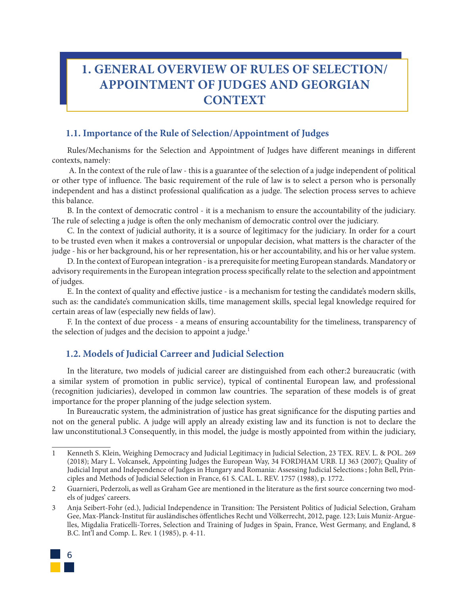## **1. GENERAL OVERVIEW OF RULES OF SELECTION/ APPOINTMENT OF JUDGES AND GEORGIAN CONTEXT**

#### **1.1. Importance of the Rule of Selection/Appointment of Judges**

Rules/Mechanisms for the Selection and Appointment of Judges have different meanings in different contexts, namely:

 A. In the context of the rule of law - this is a guarantee of the selection of a judge independent of political or other type of influence. The basic requirement of the rule of law is to select a person who is personally independent and has a distinct professional qualification as a judge. The selection process serves to achieve this balance.

B. In the context of democratic control - it is a mechanism to ensure the accountability of the judiciary. The rule of selecting a judge is often the only mechanism of democratic control over the judiciary.

C. In the context of judicial authority, it is a source of legitimacy for the judiciary. In order for a court to be trusted even when it makes a controversial or unpopular decision, what matters is the character of the judge - his or her background, his or her representation, his or her accountability, and his or her value system.

D. In the context of European integration - is a prerequisite for meeting European standards. Mandatory or advisory requirements in the European integration process specifically relate to the selection and appointment of judges.

E. In the context of quality and effective justice - is a mechanism for testing the candidate's modern skills, such as: the candidate's communication skills, time management skills, special legal knowledge required for certain areas of law (especially new fields of law).

F. In the context of due process - a means of ensuring accountability for the timeliness, transparency of the selection of judges and the decision to appoint a judge.<sup>1</sup>

#### **1.2. Models of Judicial Carreer and Judicial Selection**

In the literature, two models of judicial career are distinguished from each other:2 bureaucratic (with a similar system of promotion in public service), typical of continental European law, and professional (recognition judiciaries), developed in common law countries. The separation of these models is of great importance for the proper planning of the judge selection system.

In Bureaucratic system, the administration of justice has great significance for the disputing parties and not on the general public. A judge will apply an already existing law and its function is not to declare the law unconstitutional.3 Consequently, in this model, the judge is mostly appointed from within the judiciary,

<sup>3</sup> Anja Seibert-Fohr (ed.), Judicial Independence in Transition: The Persistent Politics of Judicial Selection, Graham Gee, Max-Planck-Institut für ausländisches öffentliches Recht und Völkerrecht, 2012, page. 123; Luis Muniz-Arguelles, Migdalia Fraticelli-Torres, Selection and Training of Judges in Spain, France, West Germany, and England, 8 B.C. Int'l and Comp. L. Rev. 1 (1985), p. 4-11.



<sup>1</sup> Kenneth S. Klein, Weighing Democracy and Judicial Legitimacy in Judicial Selection, 23 TEX. REV. L. & POL. 269 (2018); Mary L. Volcansek, Appointing Judges the European Way, 34 FORDHAM URB. LJ 363 (2007); Quality of Judicial Input and Independence of Judges in Hungary and Romania: Assessing Judicial Selections ; John Bell, Principles and Methods of Judicial Selection in France, 61 S. CAL. L. REV. 1757 (1988), p. 1772.

<sup>2</sup> Guarnieri, Pederzoli, as well as Graham Gee are mentioned in the literature as the first source concerning two models of judges' careers.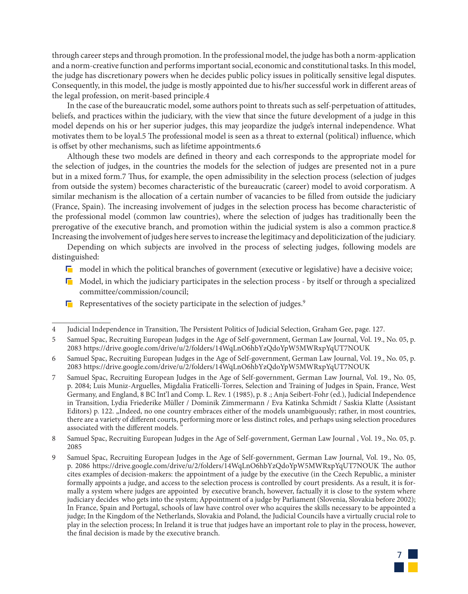through career steps and through promotion. In the professional model, the judge has both a norm-application and a norm-creative function and performs important social, economic and constitutional tasks. In this model, the judge has discretionary powers when he decides public policy issues in politically sensitive legal disputes. Consequently, in this model, the judge is mostly appointed due to his/her successful work in different areas of the legal profession, on merit-based principle.4

In the case of the bureaucratic model, some authors point to threats such as self-perpetuation of attitudes, beliefs, and practices within the judiciary, with the view that since the future development of a judge in this model depends on his or her superior judges, this may jeopardize the judge's internal independence. What motivates them to be loyal.5 The professional model is seen as a threat to external (political) influence, which is offset by other mechanisms, such as lifetime appointments.6

Although these two models are defined in theory and each corresponds to the appropriate model for the selection of judges, in the countries the models for the selection of judges are presented not in a pure but in a mixed form.7 Thus, for example, the open admissibility in the selection process (selection of judges from outside the system) becomes characteristic of the bureaucratic (career) model to avoid corporatism. A similar mechanism is the allocation of a certain number of vacancies to be filled from outside the judiciary (France, Spain). The increasing involvement of judges in the selection process has become characteristic of the professional model (common law countries), where the selection of judges has traditionally been the prerogative of the executive branch, and promotion within the judicial system is also a common practice.8 Increasing the involvement of judges here serves to increase the legitimacy and depoliticization of the judiciary.

Depending on which subjects are involved in the process of selecting judges, following models are distinguished:

- $\Box$  model in which the political branches of government (executive or legislative) have a decisive voice;
- $\Box$  Model, in which the judiciary participates in the selection process by itself or through a specialized committee/commission/council;
- **Representatives of the society participate in the selection of judges.**<sup>9</sup>

<sup>9</sup> Samuel Spac, Recruiting European Judges in the Age of Self-government, German Law Journal, Vol. 19., No. 05, p. 2086 https://drive.google.com/drive/u/2/folders/14WqLnO6hbYzQdoYpW5MWRxpYqUT7NOUK The author cites examples of decision-makers: the appointment of a judge by the executive (in the Czech Republic, a minister formally appoints a judge, and access to the selection process is controlled by court presidents. As a result, it is formally a system where judges are appointed by executive branch, however, factually it is close to the system where judiciary decides who gets into the system; Appointment of a judge by Parliament (Slovenia, Slovakia before 2002); In France, Spain and Portugal, schools of law have control over who acquires the skills necessary to be appointed a judge; In the Kingdom of the Netherlands, Slovakia and Poland, the Judicial Councils have a virtually crucial role to play in the selection process; In Ireland it is true that judges have an important role to play in the process, however, the final decision is made by the executive branch.



<sup>4</sup> Judicial Independence in Transition, The Persistent Politics of Judicial Selection, Graham Gee, page. 127.

<sup>5</sup> Samuel Spac, Recruiting European Judges in the Age of Self-government, German Law Journal, Vol. 19., No. 05, p. 2083 https://drive.google.com/drive/u/2/folders/14WqLnO6hbYzQdoYpW5MWRxpYqUT7NOUK

<sup>6</sup> Samuel Spac, Recruiting European Judges in the Age of Self-government, German Law Journal, Vol. 19., No. 05, p. 2083 https://drive.google.com/drive/u/2/folders/14WqLnO6hbYzQdoYpW5MWRxpYqUT7NOUK

<sup>7</sup> Samuel Spac, Recruiting European Judges in the Age of Self-government, German Law Journal, Vol. 19., No. 05, p. 2084; Luis Muniz-Arguelles, Migdalia Fraticelli-Torres, Selection and Training of Judges in Spain, France, West Germany, and England, 8 BC Int'l and Comp. L. Rev. 1 (1985), p. 8 .; Anja Seibert-Fohr (ed.), Judicial Independence in Transition, Lydia Friederike Müller / Dominik Zimmermann / Eva Katinka Schmidt / Saskia Klatte (Assistant Editors) p. 122. "Indeed, no one country embraces either of the models unambiguously; rather, in most countries, there are a variety of different courts, performing more or less distinct roles, and perhaps using selection procedures associated with the different models.

<sup>8</sup> Samuel Spac, Recruiting European Judges in the Age of Self-government, German Law Journal , Vol. 19., No. 05, p. 2085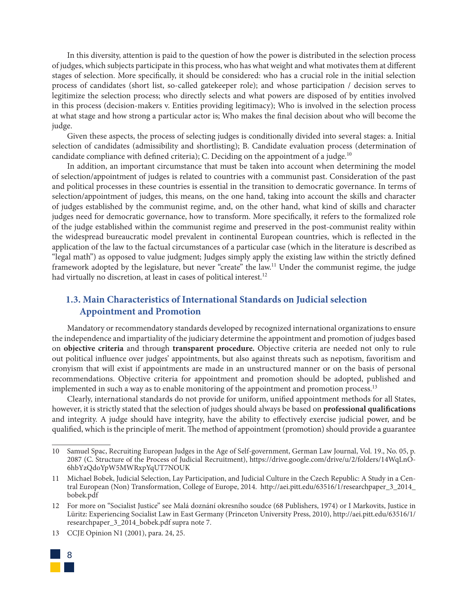In this diversity, attention is paid to the question of how the power is distributed in the selection process of judges, which subjects participate in this process, who has what weight and what motivates them at different stages of selection. More specifically, it should be considered: who has a crucial role in the initial selection process of candidates (short list, so-called gatekeeper role); and whose participation / decision serves to legitimize the selection process; who directly selects and what powers are disposed of by entities involved in this process (decision-makers v. Entities providing legitimacy); Who is involved in the selection process at what stage and how strong a particular actor is; Who makes the final decision about who will become the judge.

Given these aspects, the process of selecting judges is conditionally divided into several stages: a. Initial selection of candidates (admissibility and shortlisting); B. Candidate evaluation process (determination of candidate compliance with defined criteria); C. Deciding on the appointment of a judge.<sup>10</sup>

In addition, an important circumstance that must be taken into account when determining the model of selection/appointment of judges is related to countries with a communist past. Consideration of the past and political processes in these countries is essential in the transition to democratic governance. In terms of selection/appointment of judges, this means, on the one hand, taking into account the skills and character of judges established by the communist regime, and, on the other hand, what kind of skills and character judges need for democratic governance, how to transform. More specifically, it refers to the formalized role of the judge established within the communist regime and preserved in the post-communist reality within the widespread bureaucratic model prevalent in continental European countries, which is reflected in the application of the law to the factual circumstances of a particular case (which in the literature is described as "legal math") as opposed to value judgment; Judges simply apply the existing law within the strictly defined framework adopted by the legislature, but never "create" the law.11 Under the communist regime, the judge had virtually no discretion, at least in cases of political interest.<sup>12</sup>

#### **1.3. Main Characteristics of International Standards on Judicial selection Appointment and Promotion**

Mandatory or recommendatory standards developed by recognized international organizations to ensure the independence and impartiality of the judiciary determine the appointment and promotion of judges based on **objective criteria** and through **transparent procedure.** Objective criteria are needed not only to rule out political influence over judges' appointments, but also against threats such as nepotism, favoritism and cronyism that will exist if appointments are made in an unstructured manner or on the basis of personal recommendations. Objective criteria for appointment and promotion should be adopted, published and implemented in such a way as to enable monitoring of the appointment and promotion process.<sup>13</sup>

Clearly, international standards do not provide for uniform, unified appointment methods for all States, however, it is strictly stated that the selection of judges should always be based on **professional qualifications** and integrity. A judge should have integrity, have the ability to effectively exercise judicial power, and be qualified, which is the principle of merit. The method of appointment (promotion) should provide a guarantee

<sup>13</sup> CCJE Opinion N1 (2001), para. 24, 25.



<sup>10</sup> Samuel Spac, Recruiting European Judges in the Age of Self-government, German Law Journal, Vol. 19., No. 05, p. 2087 (C. Structure of the Process of Judicial Recruitment), https://drive.google.com/drive/u/2/folders/14WqLnO-6hbYzQdoYpW5MWRxpYqUT7NOUK

<sup>11</sup> Michael Bobek, Judicial Selection, Lay Participation, and Judicial Culture in the Czech Republic: A Study in a Central European (Non) Transformation, College of Europe, 2014. http://aei.pitt.edu/63516/1/researchpaper\_3\_2014\_ bobek.pdf

<sup>12</sup> For more on "Socialist Justice" see Malá doznání okresního soudce (68 Publishers, 1974) or I Markovits, Justice in Lüritz: Experiencing Socialist Law in East Germany (Princeton University Press, 2010), http://aei.pitt.edu/63516/1/ researchpaper\_3\_2014\_bobek.pdf supra note 7.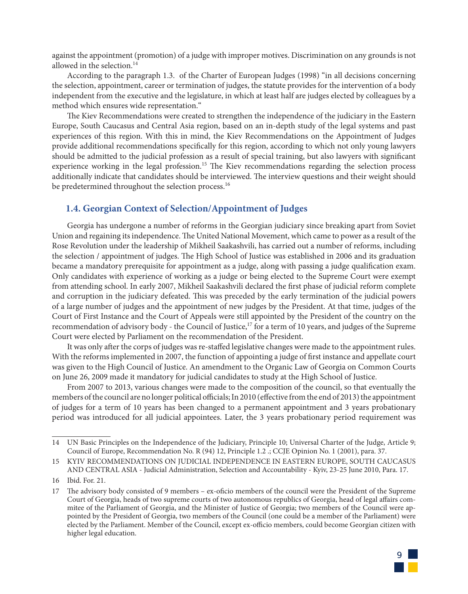against the appointment (promotion) of a judge with improper motives. Discrimination on any grounds is not allowed in the selection. $14$ 

According to the paragraph 1.3. of the Charter of European Judges (1998) "in all decisions concerning the selection, appointment, career or termination of judges, the statute provides for the intervention of a body independent from the executive and the legislature, in which at least half are judges elected by colleagues by a method which ensures wide representation."

The Kiev Recommendations were created to strengthen the independence of the judiciary in the Eastern Europe, South Caucasus and Central Asia region, based on an in-depth study of the legal systems and past experiences of this region. With this in mind, the Kiev Recommendations on the Appointment of Judges provide additional recommendations specifically for this region, according to which not only young lawyers should be admitted to the judicial profession as a result of special training, but also lawyers with significant experience working in the legal profession.<sup>15</sup> The Kiev recommendations regarding the selection process additionally indicate that candidates should be interviewed. The interview questions and their weight should be predetermined throughout the selection process.<sup>16</sup>

#### **1.4. Georgian Context of Selection/Appointment of Judges**

Georgia has undergone a number of reforms in the Georgian judiciary since breaking apart from Soviet Union and regaining its independence. The United National Movement, which came to power as a result of the Rose Revolution under the leadership of Mikheil Saakashvili, has carried out a number of reforms, including the selection / appointment of judges. The High School of Justice was established in 2006 and its graduation became a mandatory prerequisite for appointment as a judge, along with passing a judge qualification exam. Only candidates with experience of working as a judge or being elected to the Supreme Court were exempt from attending school. In early 2007, Mikheil Saakashvili declared the first phase of judicial reform complete and corruption in the judiciary defeated. This was preceded by the early termination of the judicial powers of a large number of judges and the appointment of new judges by the President. At that time, judges of the Court of First Instance and the Court of Appeals were still appointed by the President of the country on the recommendation of advisory body - the Council of Justice,<sup>17</sup> for a term of 10 years, and judges of the Supreme Court were elected by Parliament on the recommendation of the President.

It was only after the corps of judges was re-staffed legislative changes were made to the appointment rules. With the reforms implemented in 2007, the function of appointing a judge of first instance and appellate court was given to the High Council of Justice. An amendment to the Organic Law of Georgia on Common Courts on June 26, 2009 made it mandatory for judicial candidates to study at the High School of Justice.

From 2007 to 2013, various changes were made to the composition of the council, so that eventually the members of the council are no longer political officials; In 2010 (effective from the end of 2013) the appointment of judges for a term of 10 years has been changed to a permanent appointment and 3 years probationary period was introduced for all judicial appointees. Later, the 3 years probationary period requirement was

<sup>17</sup> The advisory body consisted of 9 members – ex-oficio members of the council were the President of the Supreme Court of Georgia, heads of two supreme courts of two autonomous republics of Georgia, head of legal affairs commitee of the Parliament of Georgia, and the Minister of Justice of Georgia; two members of the Council were appointed by the President of Georgia, two members of the Council (one could be a member of the Parliament) were elected by the Parliament. Member of the Council, except ex-officio members, could become Georgian citizen with higher legal education.



<sup>14</sup> UN Basic Principles on the Independence of the Judiciary, Principle 10; Universal Charter of the Judge, Article 9; Council of Europe, Recommendation No. R (94) 12, Principle 1.2 .; CCJE Opinion No. 1 (2001), para. 37.

<sup>15</sup> KYIV RECOMMENDATIONS ON JUDICIAL INDEPENDENCE IN EASTERN EUROPE, SOUTH CAUCASUS AND CENTRAL ASIA - Judicial Administration, Selection and Accountability - Kyiv, 23-25 June 2010, Para. 17.

<sup>16</sup> Ibid. For. 21.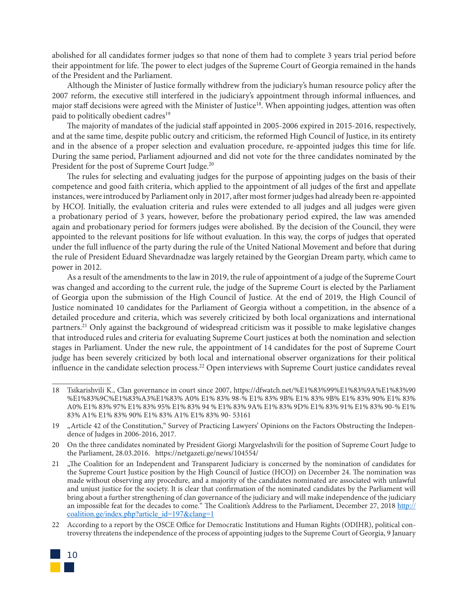abolished for all candidates former judges so that none of them had to complete 3 years trial period before their appointment for life. The power to elect judges of the Supreme Court of Georgia remained in the hands of the President and the Parliament.

Although the Minister of Justice formally withdrew from the judiciary's human resource policy after the 2007 reform, the executive still interfered in the judiciary's appointment through informal influences, and major staff decisions were agreed with the Minister of Justice<sup>18</sup>. When appointing judges, attention was often paid to politically obedient cadres<sup>19</sup>

The majority of mandates of the judicial staff appointed in 2005-2006 expired in 2015-2016, respectively, and at the same time, despite public outcry and criticism, the reformed High Council of Justice, in its entirety and in the absence of a proper selection and evaluation procedure, re-appointed judges this time for life. During the same period, Parliament adjourned and did not vote for the three candidates nominated by the President for the post of Supreme Court Judge.<sup>20</sup>

The rules for selecting and evaluating judges for the purpose of appointing judges on the basis of their competence and good faith criteria, which applied to the appointment of all judges of the first and appellate instances, were introduced by Parliament only in 2017, after most former judges had already been re-appointed by HCOJ. Initially, the evaluation criteria and rules were extended to all judges and all judges were given a probationary period of 3 years, however, before the probationary period expired, the law was amended again and probationary period for formers judges were abolished. By the decision of the Council, they were appointed to the relevant positions for life without evaluation. In this way, the corps of judges that operated under the full influence of the party during the rule of the United National Movement and before that during the rule of President Eduard Shevardnadze was largely retained by the Georgian Dream party, which came to power in 2012.

As a result of the amendments to the law in 2019, the rule of appointment of a judge of the Supreme Court was changed and according to the current rule, the judge of the Supreme Court is elected by the Parliament of Georgia upon the submission of the High Council of Justice. At the end of 2019, the High Council of Justice nominated 10 candidates for the Parliament of Georgia without a competition, in the absence of a detailed procedure and criteria, which was severely criticized by both local organizations and international partners.<sup>21</sup> Only against the background of widespread criticism was it possible to make legislative changes that introduced rules and criteria for evaluating Supreme Court justices at both the nomination and selection stages in Parliament. Under the new rule, the appointment of 14 candidates for the post of Supreme Court judge has been severely criticized by both local and international observer organizations for their political influence in the candidate selection process.22 Open interviews with Supreme Court justice candidates reveal

<sup>22</sup> According to a report by the OSCE Office for Democratic Institutions and Human Rights (ODIHR), political controversy threatens the independence of the process of appointing judges to the Supreme Court of Georgia, 9 January



<sup>18</sup> Tsikarishvili K., Clan governance in court since 2007, https://dfwatch.net/%E1%83%99%E1%83%9A%E1%83%90 %E1%83%9C%E1%83%A3%E1%83% A0% E1% 83% 98-% E1% 83% 9B% E1% 83% 9B% E1% 83% 90% E1% 83% A0% E1% 83% 97% E1% 83% 95% E1% 83% 94 % E1% 83% 9A% E1% 83% 9D% E1% 83% 91% E1% 83% 90-% E1% 83% A1% E1% 83% 90% E1% 83% A1% E1% 83% 90- 53161

<sup>19</sup> "Article 42 of the Constitution," Survey of Practicing Lawyers' Opinions on the Factors Obstructing the Independence of Judges in 2006-2016, 2017.

<sup>20</sup> On the three candidates nominated by President Giorgi Margvelashvili for the position of Supreme Court Judge to the Parliament, 28.03.2016. https://netgazeti.ge/news/104554/

<sup>21 .,</sup>The Coalition for an Independent and Transparent Judiciary is concerned by the nomination of candidates for the Supreme Court Justice position by the High Council of Justice (HCOJ) on December 24. The nomination was made without observing any procedure, and a majority of the candidates nominated are associated with unlawful and unjust justice for the society. It is clear that confirmation of the nominated candidates by the Parliament will bring about a further strengthening of clan governance of the judiciary and will make independence of the judiciary an impossible feat for the decades to come." The Coalition's Address to the Parliament, December 27, 2018 http:// coalition.ge/index.php?article\_id=197&clang=1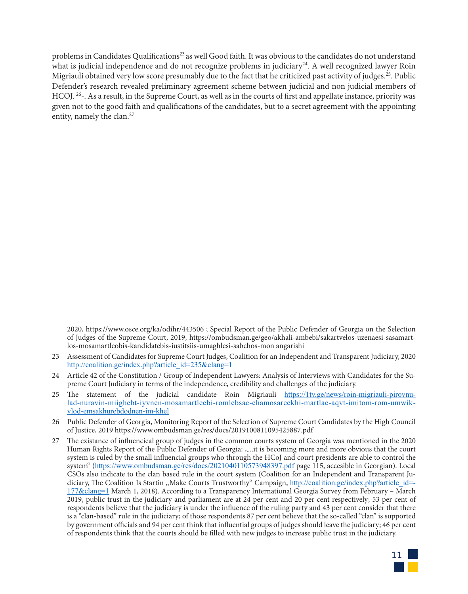problems in Candidates Qualifications<sup>23</sup> as well Good faith. It was obvious to the candidates do not understand what is judicial independence and do not recognize problems in judiciary<sup>24</sup>. A well recognized lawyer Roin Migriauli obtained very low score presumably due to the fact that he criticized past activity of judges.<sup>25</sup>. Public Defender's research revealed preliminary agreement scheme between judicial and non judicial members of HCOJ. <sup>26</sup>-. As a result, in the Supreme Court, as well as in the courts of first and appellate instance, priority was given not to the good faith and qualifications of the candidates, but to a secret agreement with the appointing entity, namely the clan.<sup>27</sup>

<sup>27</sup> The existance of influencieal group of judges in the common courts system of Georgia was mentioned in the 2020 Human Rights Report of the Public Defender of Georgia: "...it is becoming more and more obvious that the court system is ruled by the small influencial groups who through the HCoJ and court presidents are able to control the system" (https://www.ombudsman.ge/res/docs/2021040110573948397.pdf page 115, accesible in Georgian). Local CSOs also indicate to the clan based rule in the court system (Coalition for an Independent and Transparent Judiciary, The Coalition Is Startin "Make Courts Trustworthy" Campaign, http://coalition.ge/index.php?article\_id=-177&clang=1 March 1, 2018). According to a Transparency International Georgia Survey from February – March 2019, public trust in the judiciary and parliament are at 24 per cent and 20 per cent respectively; 53 per cent of respondents believe that the judiciary is under the influence of the ruling party and 43 per cent consider that there is a "clan-based" rule in the judiciary; of those respondents 87 per cent believe that the so-called "clan" is supported by government officials and 94 per cent think that influential groups of judges should leave the judiciary; 46 per cent of respondents think that the courts should be filled with new judges to increase public trust in the judiciary.



<sup>2020,</sup> https://www.osce.org/ka/odihr/443506 ; Special Report of the Public Defender of Georgia on the Selection of Judges of the Supreme Court, 2019, https://ombudsman.ge/geo/akhali-ambebi/sakartvelos-uzenaesi-sasamartlos-mosamartleobis-kandidatebis-iustitsiis-umaghlesi-sabchos-mon angarishi

<sup>23</sup> Assessment of Candidates for Supreme Court Judges, Coalition for an Independent and Transparent Judiciary, 2020 http://coalition.ge/index.php?article\_id=235&clang=1

<sup>24</sup> Article 42 of the Constitution / Group of Independent Lawyers: Analysis of Interviews with Candidates for the Supreme Court Judiciary in terms of the independence, credibility and challenges of the judiciary.

<sup>25</sup> The statement of the judicial candidate Roin Migriauli https://1tv.ge/news/roin-migriauli-pirovnulad-nuravin-miighebt-iyvnen-mosamartleebi-romlebsac-chamosareckhi-martlac-aqvt-imitom-rom-umwikvlod-emsakhurebdodnen-im-khel

<sup>26</sup> Public Defender of Georgia, Monitoring Report of the Selection of Supreme Court Candidates by the High Council of Justice, 2019 https://www.ombudsman.ge/res/docs/2019100811095425887.pdf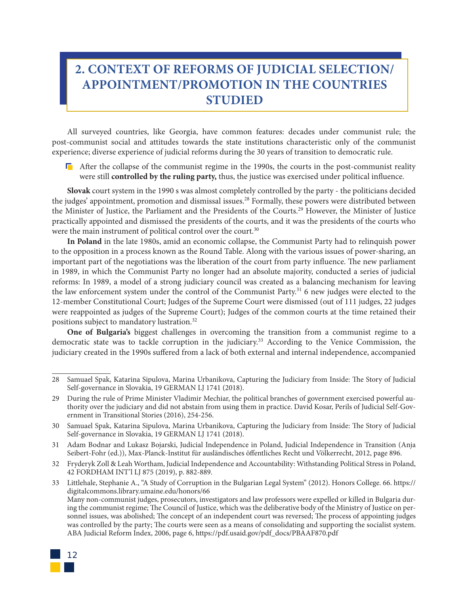## **2. CONTEXT OF REFORMS OF JUDICIAL SELECTION/ APPOINTMENT/PROMOTION IN THE COUNTRIES STUDIED**

All surveyed countries, like Georgia, have common features: decades under communist rule; the post-communist social and attitudes towards the state institutions characteristic only of the communist experience; diverse experience of judicial reforms during the 30 years of transition to democratic rule.

 $\Box$  After the collapse of the communist regime in the 1990s, the courts in the post-communist reality were still **controlled by the ruling party,** thus, the justice was exercised under political influence.

**Slovak** court system in the 1990 s was almost completely controlled by the party - the politicians decided the judges' appointment, promotion and dismissal issues.<sup>28</sup> Formally, these powers were distributed between the Minister of Justice, the Parliament and the Presidents of the Courts.29 However, the Minister of Justice practically appointed and dismissed the presidents of the courts, and it was the presidents of the courts who were the main instrument of political control over the court.<sup>30</sup>

**In Poland** in the late 1980s, amid an economic collapse, the Communist Party had to relinquish power to the opposition in a process known as the Round Table. Along with the various issues of power-sharing, an important part of the negotiations was the liberation of the court from party influence. The new parliament in 1989, in which the Communist Party no longer had an absolute majority, conducted a series of judicial reforms: In 1989, a model of a strong judiciary council was created as a balancing mechanism for leaving the law enforcement system under the control of the Communist Party.<sup>31</sup> 6 new judges were elected to the 12-member Constitutional Court; Judges of the Supreme Court were dismissed (out of 111 judges, 22 judges were reappointed as judges of the Supreme Court); Judges of the common courts at the time retained their positions subject to mandatory lustration.32

**One of Bulgaria's** biggest challenges in overcoming the transition from a communist regime to a democratic state was to tackle corruption in the judiciary.<sup>33</sup> According to the Venice Commission, the judiciary created in the 1990s suffered from a lack of both external and internal independence, accompanied

<sup>33</sup> Littlehale, Stephanie A., "A Study of Corruption in the Bulgarian Legal System" (2012). Honors College. 66. https:// digitalcommons.library.umaine.edu/honors/66 Many non-communist judges, prosecutors, investigators and law professors were expelled or killed in Bulgaria during the communist regime; The Council of Justice, which was the deliberative body of the Ministry of Justice on personnel issues, was abolished; The concept of an independent court was reversed; The process of appointing judges was controlled by the party; The courts were seen as a means of consolidating and supporting the socialist system. ABA Judicial Reform Index, 2006, page 6, https://pdf.usaid.gov/pdf\_docs/PBAAF870.pdf



<sup>28</sup> Samuael Spak, Katarina Sipulova, Marina Urbanikova, Capturing the Judiciary from Inside: The Story of Judicial Self-governance in Slovakia, 19 GERMAN LJ 1741 (2018).

<sup>29</sup> During the rule of Prime Minister Vladimir Mechiar, the political branches of government exercised powerful authority over the judiciary and did not abstain from using them in practice. David Kosar, Perils of Judicial Self-Government in Transitional Stories (2016), 254-256.

<sup>30</sup> Samuael Spak, Katarina Sipulova, Marina Urbanikova, Capturing the Judiciary from Inside: The Story of Judicial Self-governance in Slovakia, 19 GERMAN LJ 1741 (2018).

<sup>31</sup> Adam Bodnar and Lukasz Bojarski, Judicial Independence in Poland, Judicial Independence in Transition (Anja Seibert-Fohr (ed.)), Max-Planck-Institut für ausländisches öffentliches Recht und Völkerrecht, 2012, page 896.

<sup>32</sup> Fryderyk Zoll & Leah Wortham, Judicial Independence and Accountability: Withstanding Political Stress in Poland, 42 FORDHAM INT'l LJ 875 (2019), p. 882-889.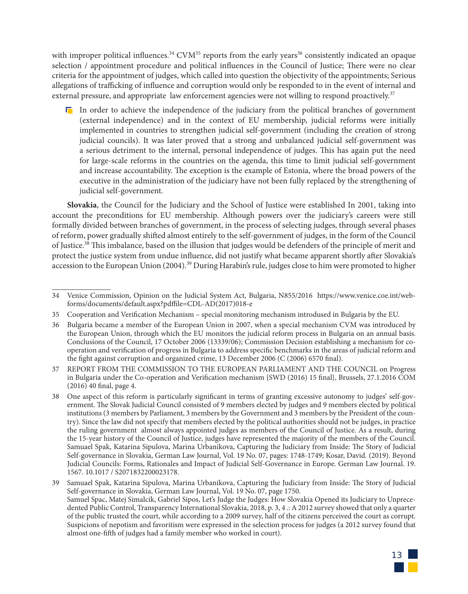with improper political influences.<sup>34</sup> CVM<sup>35</sup> reports from the early years<sup>36</sup> consistently indicated an opaque selection / appointment procedure and political influences in the Council of Justice; There were no clear criteria for the appointment of judges, which called into question the objectivity of the appointments; Serious allegations of trafficking of influence and corruption would only be responded to in the event of internal and external pressure, and appropriate law enforcement agencies were not willing to respond proactively.<sup>37</sup>

 $\Gamma$  In order to achieve the independence of the judiciary from the political branches of government (external independence) and in the context of EU membership, judicial reforms were initially implemented in countries to strengthen judicial self-government (including the creation of strong judicial councils). It was later proved that a strong and unbalanced judicial self-government was a serious detriment to the internal, personal independence of judges. This has again put the need for large-scale reforms in the countries on the agenda, this time to limit judicial self-government and increase accountability. The exception is the example of Estonia, where the broad powers of the executive in the administration of the judiciary have not been fully replaced by the strengthening of judicial self-government.

**Slovakia**, the Council for the Judiciary and the School of Justice were established In 2001, taking into account the preconditions for EU membership. Although powers over the judiciary's careers were still formally divided between branches of government, in the process of selecting judges, through several phases of reform, power gradually shifted almost entirely to the self-government of judges, in the form of the Council of Justice.38 This imbalance, based on the illusion that judges would be defenders of the principle of merit and protect the justice system from undue influence, did not justify what became apparent shortly after Slovakia's accession to the European Union (2004).39 During Harabin's rule, judges close to him were promoted to higher

<sup>39</sup> Samuael Spak, Katarina Sipulova, Marina Urbanikova, Capturing the Judiciary from Inside: The Story of Judicial Self-governance in Slovakia, German Law Journal, Vol. 19 No. 07, page 1750. Samuel Spac, Matej Simalcik, Gabriel Sipos, Let's Judge the Judges: How Slovakia Opened its Judiciary to Unprecedented Public Control, Transparency International Slovakia, 2018, p. 3, 4 .: A 2012 survey showed that only a quarter of the public trusted the court, while according to a 2009 survey, half of the citizens perceived the court as corrupt. Suspicions of nepotism and favoritism were expressed in the selection process for judges (a 2012 survey found that almost one-fifth of judges had a family member who worked in court).



<sup>34</sup> Venice Commission, Opinion on the Judicial System Act, Bulgaria, N855/2016 https://www.venice.coe.int/webforms/documents/default.aspx?pdffile=CDL-AD(2017)018-e

<sup>35</sup> Cooperation and Verification Mechanism – special monitoring mechanism introdused in Bulgaria by the EU.

<sup>36</sup> Bulgaria became a member of the European Union in 2007, when a special mechanism CVM was introduced by the European Union, through which the EU monitors the judicial reform process in Bulgaria on an annual basis. Conclusions of the Council, 17 October 2006 (13339/06); Commission Decision establishing a mechanism for cooperation and verification of progress in Bulgaria to address specific benchmarks in the areas of judicial reform and the fight against corruption and organized crime, 13 December 2006 (C (2006) 6570 final).

<sup>37</sup> REPORT FROM THE COMMISSION TO THE EUROPEAN PARLIAMENT AND THE COUNCIL on Progress in Bulgaria under the Co-operation and Verification mechanism {SWD (2016) 15 final}, Brussels, 27.1.2016 COM (2016) 40 final, page 4.

<sup>38</sup> One aspect of this reform is particularly significant in terms of granting excessive autonomy to judges' self-government. The Slovak Judicial Council consisted of 9 members elected by judges and 9 members elected by political institutions (3 members by Parliament, 3 members by the Government and 3 members by the President of the country). Since the law did not specify that members elected by the political authorities should not be judges, in practice the ruling government almost always appointed judges as members of the Council of Justice. As a result, during the 15-year history of the Council of Justice, judges have represented the majority of the members of the Council. Samuael Spak, Katarina Sipulova, Marina Urbanikova, Capturing the Judiciary from Inside: The Story of Judicial Self-governance in Slovakia, German Law Journal, Vol. 19 No. 07, pages: 1748-1749; Kosar, David. (2019). Beyond Judicial Councils: Forms, Rationales and Impact of Judicial Self-Governance in Europe. German Law Journal. 19. 1567. 10.1017 / S2071832200023178.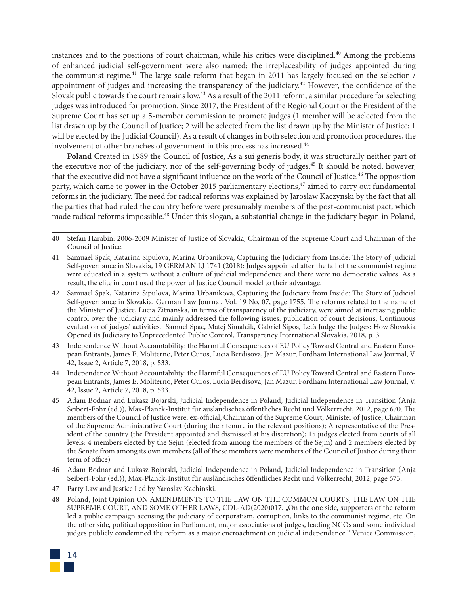instances and to the positions of court chairman, while his critics were disciplined.40 Among the problems of enhanced judicial self-government were also named: the irreplaceability of judges appointed during the communist regime.<sup>41</sup> The large-scale reform that began in 2011 has largely focused on the selection / appointment of judges and increasing the transparency of the judiciary.42 However, the confidence of the Slovak public towards the court remains low.43 As a result of the 2011 reform, a similar procedure for selecting judges was introduced for promotion. Since 2017, the President of the Regional Court or the President of the Supreme Court has set up a 5-member commission to promote judges (1 member will be selected from the list drawn up by the Council of Justice; 2 will be selected from the list drawn up by the Minister of Justice; 1 will be elected by the Judicial Council). As a result of changes in both selection and promotion procedures, the involvement of other branches of government in this process has increased.<sup>44</sup>

**Poland** Created in 1989 the Council of Justice, As a sui generis body, it was structurally neither part of the executive nor of the judiciary, nor of the self-governing body of judges.45 It should be noted, however, that the executive did not have a significant influence on the work of the Council of Justice.46 The opposition party, which came to power in the October 2015 parliamentary elections,<sup>47</sup> aimed to carry out fundamental reforms in the judiciary. The need for radical reforms was explained by Jaroslaw Kaczynski by the fact that all the parties that had ruled the country before were presumably members of the post-communist pact, which made radical reforms impossible.<sup>48</sup> Under this slogan, a substantial change in the judiciary began in Poland,

47 Party Law and Justice Led by Yaroslav Kachinski.

48 Poland, Joint Opinion ON AMENDMENTS TO THE LAW ON THE COMMON COURTS, THE LAW ON THE SUPREME COURT, AND SOME OTHER LAWS, CDL-AD(2020)017. "On the one side, supporters of the reform led a public campaign accusing the judiciary of corporatism, corruption, links to the communist regime, etc. On the other side, political opposition in Parliament, major associations of judges, leading NGOs and some individual judges publicly condemned the reform as a major encroachment on judicial independence." Venice Commission,



<sup>40</sup> Stefan Harabin: 2006-2009 Minister of Justice of Slovakia, Chairman of the Supreme Court and Chairman of the Council of Justice.

<sup>41</sup> Samuael Spak, Katarina Sipulova, Marina Urbanikova, Capturing the Judiciary from Inside: The Story of Judicial Self-governance in Slovakia, 19 GERMAN LJ 1741 (2018): Judges appointed after the fall of the communist regime were educated in a system without a culture of judicial independence and there were no democratic values. As a result, the elite in court used the powerful Justice Council model to their advantage.

<sup>42</sup> Samuael Spak, Katarina Sipulova, Marina Urbanikova, Capturing the Judiciary from Inside: The Story of Judicial Self-governance in Slovakia, German Law Journal, Vol. 19 No. 07, page 1755. The reforms related to the name of the Minister of Justice, Lucia Zitnanska, in terms of transparency of the judiciary, were aimed at increasing public control over the judiciary and mainly addressed the following issues: publication of court decisions; Continuous evaluation of judges' activities. Samuel Spac, Matej Simalcik, Gabriel Sipos, Let's Judge the Judges: How Slovakia Opened its Judiciary to Unprecedented Public Control, Transparency International Slovakia, 2018, p. 3.

<sup>43</sup> Independence Without Accountability: the Harmful Consequences of EU Policy Toward Central and Eastern European Entrants, James E. Moliterno, Peter Curos, Lucia Berdisova, Jan Mazur, Fordham International Law Journal, V. 42, Issue 2, Article 7, 2018, p. 533.

<sup>44</sup> Independence Without Accountability: the Harmful Consequences of EU Policy Toward Central and Eastern European Entrants, James E. Moliterno, Peter Curos, Lucia Berdisova, Jan Mazur, Fordham International Law Journal, V. 42, Issue 2, Article 7, 2018, p. 533.

<sup>45</sup> Adam Bodnar and Lukasz Bojarski, Judicial Independence in Poland, Judicial Independence in Transition (Anja Seibert-Fohr (ed.)), Max-Planck-Institut für ausländisches öffentliches Recht und Völkerrecht, 2012, page 670. The members of the Council of Justice were: ex-official, Chairman of the Supreme Court, Minister of Justice, Chairman of the Supreme Administrative Court (during their tenure in the relevant positions); A representative of the President of the country (the President appointed and dismissed at his discretion); 15 judges elected from courts of all levels; 4 members elected by the Sejm (elected from among the members of the Sejm) and 2 members elected by the Senate from among its own members (all of these members were members of the Council of Justice during their term of office)

<sup>46</sup> Adam Bodnar and Lukasz Bojarski, Judicial Independence in Poland, Judicial Independence in Transition (Anja Seibert-Fohr (ed.)), Max-Planck-Institut für ausländisches öffentliches Recht und Völkerrecht, 2012, page 673.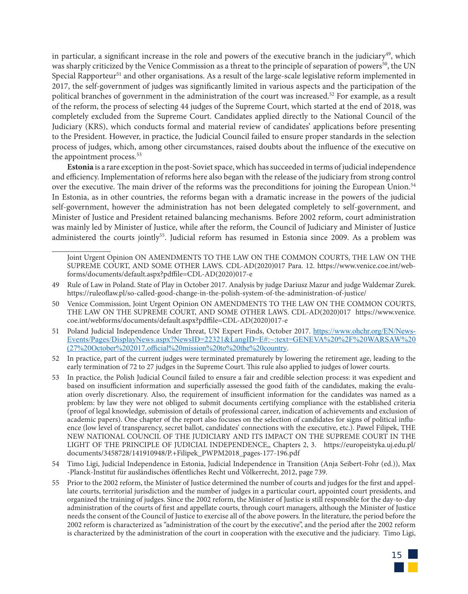in particular, a significant increase in the role and powers of the executive branch in the judiciary<sup>49</sup>, which was sharply criticized by the Venice Commission as a threat to the principle of separation of powers<sup>50</sup>, the UN Special Rapporteur<sup>51</sup> and other organisations. As a result of the large-scale legislative reform implemented in 2017, the self-government of judges was significantly limited in various aspects and the participation of the political branches of government in the administration of the court was increased.52 For example, as a result of the reform, the process of selecting 44 judges of the Supreme Court, which started at the end of 2018, was completely excluded from the Supreme Court. Candidates applied directly to the National Council of the Judiciary (KRS), which conducts formal and material review of candidates' applications before presenting to the President. However, in practice, the Judicial Council failed to ensure proper standards in the selection process of judges, which, among other circumstances, raised doubts about the influence of the executive on the appointment process.<sup>53</sup>

**Estonia** is a rare exception in the post-Soviet space, which has succeeded in terms of judicial independence and efficiency. Implementation of reforms here also began with the release of the judiciary from strong control over the executive. The main driver of the reforms was the preconditions for joining the European Union.<sup>54</sup> In Estonia, as in other countries, the reforms began with a dramatic increase in the powers of the judicial self-government, however the administration has not been delegated completely to self-government, and Minister of Justice and President retained balancing mechanisms. Before 2002 reform, court administration was mainly led by Minister of Justice, while after the reform, the Council of Judiciary and Minister of Justice administered the courts jointly<sup>55</sup>. Judicial reform has resumed in Estonia since 2009. As a problem was

Joint Urgent Opinion ON AMENDMENTS TO THE LAW ON THE COMMON COURTS, THE LAW ON THE SUPREME COURT, AND SOME OTHER LAWS. CDL-AD(2020)017 Para. 12. https://www.venice.coe.int/webforms/documents/default.aspx?pdffile=CDL-AD(2020)017-e

- 49 Rule of Law in Poland. State of Play in October 2017. Analysis by judge Dariusz Mazur and judge Waldemar Zurek. https://ruleoflaw.pl/so-called-good-change-in-the-polish-system-of-the-administration-of-justice/
- 50 Venice Commission, Joint Urgent Opinion ON AMENDMENTS TO THE LAW ON THE COMMON COURTS, THE LAW ON THE SUPREME COURT, AND SOME OTHER LAWS. CDL-AD(2020)017 https://www.venice. coe.int/webforms/documents/default.aspx?pdffile=CDL-AD(2020)017-e
- 51 Poland Judicial Independence Under Threat, UN Expert Finds, October 2017. https://www.ohchr.org/EN/News-Events/Pages/DisplayNews.aspx?NewsID=22321&LangID=E#:~:text=GENEVA%20%2F%20WARSAW%20 (27%20October%202017,official%20mission%20to%20the%20country.
- 52 In practice, part of the current judges were terminated prematurely by lowering the retirement age, leading to the early termination of 72 to 27 judges in the Supreme Court. This rule also applied to judges of lower courts.
- 53 In practice, the Polish Judicial Council failed to ensure a fair and credible selection process: it was expedient and based on insufficient information and superficially assessed the good faith of the candidates, making the evaluation overly discretionary. Also, the requirement of insufficient information for the candidates was named as a problem: by law they were not obliged to submit documents certifying compliance with the established criteria (proof of legal knowledge, submission of details of professional career, indication of achievements and exclusion of academic papers). One chapter of the report also focuses on the selection of candidates for signs of political influence (low level of transparency, secret ballot, candidates' connections with the executive, etc.). Pawel Filipek, THE NEW NATIONAL COUNCIL OF THE JUDICIARY AND ITS IMPACT ON THE SUPREME COURT IN THE LIGHT OF THE PRINCIPLE OF JUDICIAL INDEPENDENCE,, Chapters 2, 3. https://europeistyka.uj.edu.pl/ documents/3458728/141910948/P.+Filipek\_PWPM2018\_pages-177-196.pdf
- 54 Timo Ligi, Judicial Independence in Estonia, Judicial Independence in Transition (Anja Seibert-Fohr (ed.)), Max -Planck-Institut für ausländisches öffentliches Recht und Völkerrecht, 2012, page 739.
- 55 Prior to the 2002 reform, the Minister of Justice determined the number of courts and judges for the first and appellate courts, territorial jurisdiction and the number of judges in a particular court, appointed court presidents, and organized the training of judges. Since the 2002 reform, the Minister of Justice is still responsible for the day-to-day administration of the courts of first and appellate courts, through court managers, although the Minister of Justice needs the consent of the Council of Justice to exercise all of the above powers. In the literature, the period before the 2002 reform is characterized as "administration of the court by the executive", and the period after the 2002 reform is characterized by the administration of the court in cooperation with the executive and the judiciary. Timo Ligi,

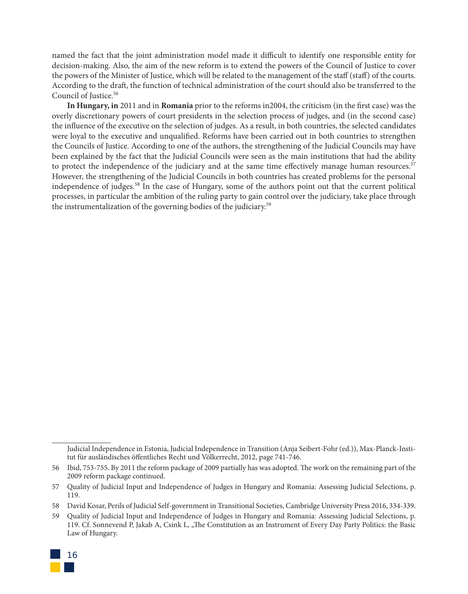named the fact that the joint administration model made it difficult to identify one responsible entity for decision-making. Also, the aim of the new reform is to extend the powers of the Council of Justice to cover the powers of the Minister of Justice, which will be related to the management of the staff (staff) of the courts. According to the draft, the function of technical administration of the court should also be transferred to the Council of Justice.<sup>56</sup>

**In Hungary, in** 2011 and in **Romania** prior to the reforms in2004, the criticism (in the first case) was the overly discretionary powers of court presidents in the selection process of judges, and (in the second case) the influence of the executive on the selection of judges. As a result, in both countries, the selected candidates were loyal to the executive and unqualified. Reforms have been carried out in both countries to strengthen the Councils of Justice. According to one of the authors, the strengthening of the Judicial Councils may have been explained by the fact that the Judicial Councils were seen as the main institutions that had the ability to protect the independence of the judiciary and at the same time effectively manage human resources.<sup>57</sup> However, the strengthening of the Judicial Councils in both countries has created problems for the personal independence of judges.58 In the case of Hungary, some of the authors point out that the current political processes, in particular the ambition of the ruling party to gain control over the judiciary, take place through the instrumentalization of the governing bodies of the judiciary.59

<sup>59</sup> Quality of Judicial Input and Independence of Judges in Hungary and Romania: Assessing Judicial Selections, p. 119. Cf. Sonnevend P, Jakab A, Csink L, "The Constitution as an Instrument of Every Day Party Politics: the Basic Law of Hungary.



Judicial Independence in Estonia, Judicial Independence in Transition (Anja Seibert-Fohr (ed.)), Max-Planck-Institut für ausländisches öffentliches Recht und Völkerrecht, 2012, page 741-746.

<sup>56</sup> Ibid, 753-755. By 2011 the reform package of 2009 partially has was adopted. The work on the remaining part of the 2009 reform package continued.

<sup>57</sup> Quality of Judicial Input and Independence of Judges in Hungary and Romania: Assessing Judicial Selections, p. 119.

<sup>58</sup> David Kosar, Perils of Judicial Self-government in Transitional Societies, Cambridge University Press 2016, 334-339.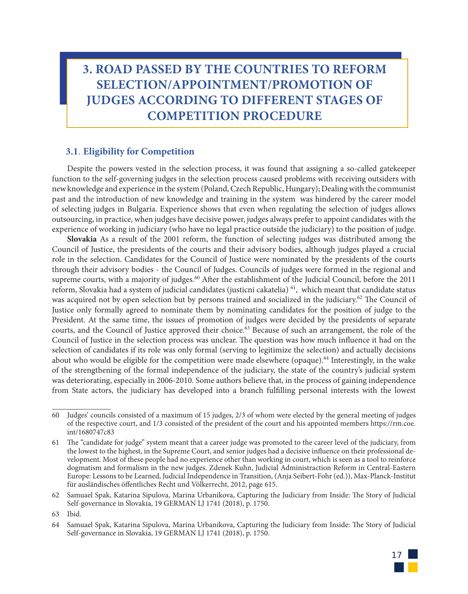## **3. ROAD PASSED BY THE COUNTRIES TO REFORM SELECTION/APPOINTMENT/PROMOTION OF JUDGES ACCORDING TO DIFFERENT STAGES OF COMPETITION PROCEDURE**

#### **3.1**. **Eligibility for Competition**

Despite the powers vested in the selection process, it was found that assigning a so-called gatekeeper function to the self-governing judges in the selection process caused problems with receiving outsiders with new knowledge and experience in the system (Poland, Czech Republic, Hungary); Dealing with the communist past and the introduction of new knowledge and training in the system was hindered by the career model of selecting judges in Bulgaria. Experience shows that even when regulating the selection of judges allows outsourcing, in practice, when judges have decisive power, judges always prefer to appoint candidates with the experience of working in judiciary (who have no legal practice outside the judiciary) to the position of judge.

**Slovakia** As a result of the 2001 reform, the function of selecting judges was distributed among the Council of Justice, the presidents of the courts and their advisory bodies, although judges played a crucial role in the selection. Candidates for the Council of Justice were nominated by the presidents of the courts through their advisory bodies - the Council of Judges. Councils of judges were formed in the regional and supreme courts, with a majority of judges.<sup>60</sup> After the establishment of the Judicial Council, before the 2011 reform, Slovakia had a system of judicial candidates (justicni cakatelia) 61, which meant that candidate status was acquired not by open selection but by persons trained and socialized in the judiciary.<sup>62</sup> The Council of Justice only formally agreed to nominate them by nominating candidates for the position of judge to the President. At the same time, the issues of promotion of judges were decided by the presidents of separate courts, and the Council of Justice approved their choice.<sup>63</sup> Because of such an arrangement, the role of the Council of Justice in the selection process was unclear. The question was how much influence it had on the selection of candidates if its role was only formal (serving to legitimize the selection) and actually decisions about who would be eligible for the competition were made elsewhere (opaque).<sup>64</sup> Interestingly, in the wake of the strengthening of the formal independence of the judiciary, the state of the country's judicial system was deteriorating, especially in 2006-2010. Some authors believe that, in the process of gaining independence from State actors, the judiciary has developed into a branch fulfilling personal interests with the lowest

<sup>64</sup> Samuael Spak, Katarina Sipulova, Marina Urbanikova, Capturing the Judiciary from Inside: The Story of Judicial Self-governance in Slovakia, 19 GERMAN LJ 1741 (2018), p. 1750.



<sup>60</sup> Judges' councils consisted of a maximum of 15 judges, 2/3 of whom were elected by the general meeting of judges of the respective court, and 1/3 consisted of the president of the court and his appointed members https://rm.coe. int/1680747c83

<sup>61</sup> The "candidate for judge" system meant that a career judge was promoted to the career level of the judiciary, from the lowest to the highest, in the Supreme Court, and senior judges had a decisive influence on their professional development. Most of these people had no experience other than working in court, which is seen as a tool to reinforce dogmatism and formalism in the new judges. Zdenek Kuhn, Judicial Administraction Reform in Central-Eastern Europe: Lessons to be Learned, Judicial Independence in Transition, (Anja Seibert-Fohr (ed.)), Max-Planck-Institut für ausländisches öffentliches Recht und Völkerrecht, 2012, page 615.

<sup>62</sup> Samuael Spak, Katarina Sipulova, Marina Urbanikova, Capturing the Judiciary from Inside: The Story of Judicial Self-governance in Slovakia, 19 GERMAN LJ 1741 (2018), p. 1750.

<sup>63</sup> Ibid.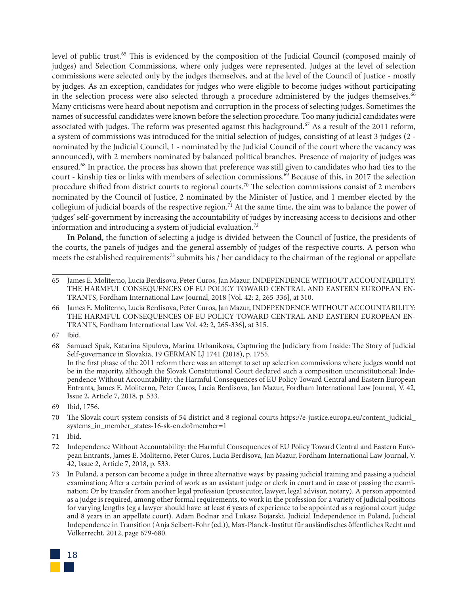level of public trust.<sup>65</sup> This is evidenced by the composition of the Judicial Council (composed mainly of judges) and Selection Commissions, where only judges were represented. Judges at the level of selection commissions were selected only by the judges themselves, and at the level of the Council of Justice - mostly by judges. As an exception, candidates for judges who were eligible to become judges without participating in the selection process were also selected through a procedure administered by the judges themselves.<sup>66</sup> Many criticisms were heard about nepotism and corruption in the process of selecting judges. Sometimes the names of successful candidates were known before the selection procedure. Too many judicial candidates were associated with judges. The reform was presented against this background.<sup>67</sup> As a result of the 2011 reform, a system of commissions was introduced for the initial selection of judges, consisting of at least 3 judges (2 nominated by the Judicial Council, 1 - nominated by the Judicial Council of the court where the vacancy was announced), with 2 members nominated by balanced political branches. Presence of majority of judges was ensured.68 In practice, the process has shown that preference was still given to candidates who had ties to the court - kinship ties or links with members of selection commissions.<sup>69</sup> Because of this, in 2017 the selection procedure shifted from district courts to regional courts.70 The selection commissions consist of 2 members nominated by the Council of Justice, 2 nominated by the Minister of Justice, and 1 member elected by the collegium of judicial boards of the respective region.<sup>71</sup> At the same time, the aim was to balance the power of judges' self-government by increasing the accountability of judges by increasing access to decisions and other information and introducing a system of judicial evaluation.72

**In Poland**, the function of selecting a judge is divided between the Council of Justice, the presidents of the courts, the panels of judges and the general assembly of judges of the respective courts. A person who meets the established requirements<sup>73</sup> submits his / her candidacy to the chairman of the regional or appellate

68 Samuael Spak, Katarina Sipulova, Marina Urbanikova, Capturing the Judiciary from Inside: The Story of Judicial Self-governance in Slovakia, 19 GERMAN LJ 1741 (2018), p. 1755. In the first phase of the 2011 reform there was an attempt to set up selection commissions where judges would not be in the majority, although the Slovak Constitutional Court declared such a composition unconstitutional: Independence Without Accountability: the Harmful Consequences of EU Policy Toward Central and Eastern European Entrants, James E. Moliterno, Peter Curos, Lucia Berdisova, Jan Mazur, Fordham International Law Journal, V. 42, Issue 2, Article 7, 2018, p. 533.

<sup>73</sup> In Poland, a person can become a judge in three alternative ways: by passing judicial training and passing a judicial examination; After a certain period of work as an assistant judge or clerk in court and in case of passing the examination; Or by transfer from another legal profession (prosecutor, lawyer, legal advisor, notary). A person appointed as a judge is required, among other formal requirements, to work in the profession for a variety of judicial positions for varying lengths (eg a lawyer should have at least 6 years of experience to be appointed as a regional court judge and 8 years in an appellate court). Adam Bodnar and Lukasz Bojarski, Judicial Independence in Poland, Judicial Independence in Transition (Anja Seibert-Fohr (ed.)), Max-Planck-Institut für ausländisches öffentliches Recht und Völkerrecht, 2012, page 679-680.



<sup>65</sup> James E. Moliterno, Lucia Berdisova, Peter Curos, Jan Mazur, INDEPENDENCE WITHOUT ACCOUNTABILITY: THE HARMFUL CONSEQUENCES OF EU POLICY TOWARD CENTRAL AND EASTERN EUROPEAN EN-TRANTS, Fordham International Law Journal, 2018 [Vol. 42: 2, 265-336], at 310.

<sup>66</sup> James E. Moliterno, Lucia Berdisova, Peter Curos, Jan Mazur, INDEPENDENCE WITHOUT ACCOUNTABILITY: THE HARMFUL CONSEQUENCES OF EU POLICY TOWARD CENTRAL AND EASTERN EUROPEAN EN-TRANTS, Fordham International Law Vol. 42: 2, 265-336], at 315.

<sup>67</sup> Ibid.

<sup>69</sup> Ibid, 1756.

<sup>70</sup> The Slovak court system consists of 54 district and 8 regional courts https://e-justice.europa.eu/content\_judicial\_ systems in member states-16-sk-en.do?member=1

<sup>71</sup> Ibid.

<sup>72</sup> Independence Without Accountability: the Harmful Consequences of EU Policy Toward Central and Eastern European Entrants, James E. Moliterno, Peter Curos, Lucia Berdisova, Jan Mazur, Fordham International Law Journal, V. 42, Issue 2, Article 7, 2018, p. 533.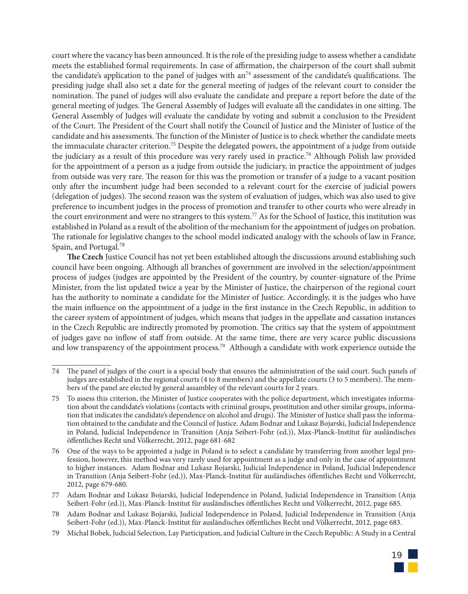court where the vacancy has been announced. It is the role of the presiding judge to assess whether a candidate meets the established formal requirements. In case of affirmation, the chairperson of the court shall submit the candidate's application to the panel of judges with an<sup>74</sup> assessment of the candidate's qualifications. The presiding judge shall also set a date for the general meeting of judges of the relevant court to consider the nomination. The panel of judges will also evaluate the candidate and prepare a report before the date of the general meeting of judges. The General Assembly of Judges will evaluate all the candidates in one sitting. The General Assembly of Judges will evaluate the candidate by voting and submit a conclusion to the President of the Court. The President of the Court shall notify the Council of Justice and the Minister of Justice of the candidate and his assessments. The function of the Minister of Justice is to check whether the candidate meets the immaculate character criterion.75 Despite the delegated powers, the appointment of a judge from outside the judiciary as a result of this procedure was very rarely used in practice.<sup>76</sup> Although Polish law provided for the appointment of a person as a judge from outside the judiciary, in practice the appointment of judges from outside was very rare. The reason for this was the promotion or transfer of a judge to a vacant position only after the incumbent judge had been seconded to a relevant court for the exercise of judicial powers (delegation of judges). The second reason was the system of evaluation of judges, which was also used to give preference to incumbent judges in the process of promotion and transfer to other courts who were already in the court environment and were no strangers to this system.<sup>77</sup> As for the School of Justice, this institution was established in Poland as a result of the abolition of the mechanism for the appointment of judges on probation. The rationale for legislative changes to the school model indicated analogy with the schools of law in France, Spain, and Portugal.<sup>78</sup>

**The Czech** Justice Council has not yet been established altough the discussions around establishing such council have been ongoing. Although all branches of government are involved in the selection/appointment process of judges (judges are appointed by the President of the country, by counter-signature of the Prime Minister, from the list updated twice a year by the Minister of Justice, the chairperson of the regional court has the authority to nominate a candidate for the Minister of Justice. Accordingly, it is the judges who have the main influence on the appointment of a judge in the first instance in the Czech Republic, in addition to the career system of appointment of judges, which means that judges in the appellate and cassation instances in the Czech Republic are indirectly promoted by promotion. The critics say that the system of appointment of judges gave no inflow of staff from outside. At the same time, there are very scarce public discussions and low transparency of the appointment process.<sup>79</sup> Although a candidate with work experience outside the

<sup>79</sup> Michal Bobek, Judicial Selection, Lay Participation, and Judicial Culture in the Czech Republic: A Study in a Central



<sup>74</sup> The panel of judges of the court is a special body that ensures the administration of the said court. Such panels of judges are established in the regional courts (4 to 8 members) and the appellate courts (3 to 5 members). The members of the panel are elected by general assambley of the relevant courts for 2 years.

<sup>75</sup> To assess this criterion, the Minister of Justice cooperates with the police department, which investigates information about the candidate's violations (contacts with criminal groups, prostitution and other similar groups, information that indicates the candidate's dependence on alcohol and drugs). The Minister of Justice shall pass the information obtained to the candidate and the Council of Justice. Adam Bodnar and Lukasz Bojarski, Judicial Independence in Poland, Judicial Independence in Transition (Anja Seibert-Fohr (ed.)), Max-Planck-Institut für ausländisches öffentliches Recht und Völkerrecht, 2012, page 681-682

<sup>76</sup> One of the ways to be appointed a judge in Poland is to select a candidate by transferring from another legal profession, however, this method was very rarely used for appointment as a judge and only in the case of appointment to higher instances. Adam Bodnar and Lukasz Bojarski, Judicial Independence in Poland, Judicial Independence in Transition (Anja Seibert-Fohr (ed.)), Max-Planck-Institut für ausländisches öffentliches Recht und Völkerrecht, 2012, page 679-680.

<sup>77</sup> Adam Bodnar and Lukasz Bojarski, Judicial Independence in Poland, Judicial Independence in Transition (Anja Seibert-Fohr (ed.)), Max-Planck-Institut für ausländisches öffentliches Recht und Völkerrecht, 2012, page 685.

<sup>78</sup> Adam Bodnar and Lukasz Bojarski, Judicial Independence in Poland, Judicial Independence in Transition (Anja Seibert-Fohr (ed.)), Max-Planck-Institut für ausländisches öffentliches Recht und Völkerrecht, 2012, page 683.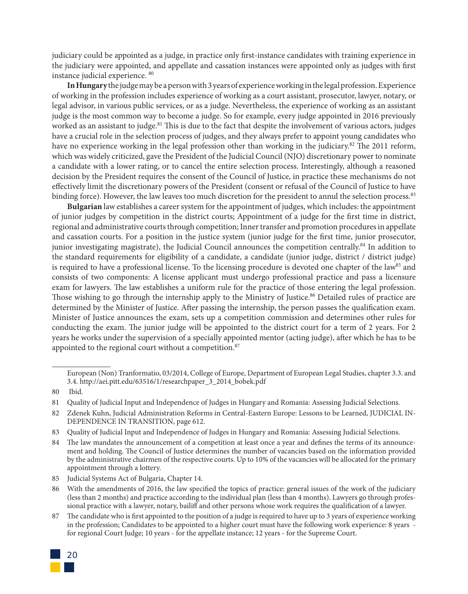judiciary could be appointed as a judge, in practice only first-instance candidates with training experience in the judiciary were appointed, and appellate and cassation instances were appointed only as judges with first instance judicial experience. 80

**In Hungary** the judge may be a person with 3 years of experience working in the legal profession. Experience of working in the profession includes experience of working as a court assistant, prosecutor, lawyer, notary, or legal advisor, in various public services, or as a judge. Nevertheless, the experience of working as an assistant judge is the most common way to become a judge. So for example, every judge appointed in 2016 previously worked as an assistant to judge.<sup>81</sup> This is due to the fact that despite the involvement of various actors, judges have a crucial role in the selection process of judges, and they always prefer to appoint young candidates who have no experience working in the legal profession other than working in the judiciary.<sup>82</sup> The 2011 reform, which was widely criticized, gave the President of the Judicial Council (NJO) discretionary power to nominate a candidate with a lower rating, or to cancel the entire selection process. Interestingly, although a reasoned decision by the President requires the consent of the Council of Justice, in practice these mechanisms do not effectively limit the discretionary powers of the President (consent or refusal of the Council of Justice to have binding force). However, the law leaves too much discretion for the president to annul the selection process.<sup>83</sup>

**Bulgarian** law establishes a career system for the appointment of judges, which includes: the appointment of junior judges by competition in the district courts; Appointment of a judge for the first time in district, regional and administrative courts through competition; Inner transfer and promotion procedures in appellate and cassation courts. For a position in the justice system (junior judge for the first time, junior prosecutor, junior investigating magistrate), the Judicial Council announces the competition centrally.<sup>84</sup> In addition to the standard requirements for eligibility of a candidate, a candidate (junior judge, district / district judge) is required to have a professional license. To the licensing procedure is devoted one chapter of the law<sup>85</sup> and consists of two components: A license applicant must undergo professional practice and pass a licensure exam for lawyers. The law establishes a uniform rule for the practice of those entering the legal profession. Those wishing to go through the internship apply to the Ministry of Justice.<sup>86</sup> Detailed rules of practice are determined by the Minister of Justice. After passing the internship, the person passes the qualification exam. Minister of Justice announces the exam, sets up a competition commission and determines other rules for conducting the exam. The junior judge will be appointed to the district court for a term of 2 years. For 2 years he works under the supervision of a specially appointed mentor (acting judge), after which he has to be appointed to the regional court without a competition.<sup>87</sup>

The candidate who is first appointed to the position of a judge is required to have up to 3 years of experience working in the profession; Candidates to be appointed to a higher court must have the following work experience: 8 years for regional Court Judge; 10 years - for the appellate instance; 12 years - for the Supreme Court.



European (Non) Tranformatio, 03/2014, College of Europe, Department of European Legal Studies, chapter 3.3. and 3.4. http://aei.pitt.edu/63516/1/researchpaper\_3\_2014\_bobek.pdf

<sup>80</sup> Ibid.

<sup>81</sup> Quality of Judicial Input and Independence of Judges in Hungary and Romania: Assessing Judicial Selections.

<sup>82</sup> Zdenek Kuhn, Judicial Administration Reforms in Central-Eastern Europe: Lessons to be Learned, JUDICIAL IN-DEPENDENCE IN TRANSITION, page 612.

<sup>83</sup> Quality of Judicial Input and Independence of Judges in Hungary and Romania: Assessing Judicial Selections.

<sup>84</sup> The law mandates the announcement of a competition at least once a year and defines the terms of its announcement and holding. The Council of Justice determines the number of vacancies based on the information provided by the administrative chairmen of the respective courts. Up to 10% of the vacancies will be allocated for the primary appointment through a lottery.

<sup>85</sup> Judicial Systems Act of Bulgaria, Chapter 14.

<sup>86</sup> With the amendments of 2016, the law specified the topics of practice: general issues of the work of the judiciary (less than 2 months) and practice according to the individual plan (less than 4 months). Lawyers go through professional practice with a lawyer, notary, bailiff and other persons whose work requires the qualification of a lawyer.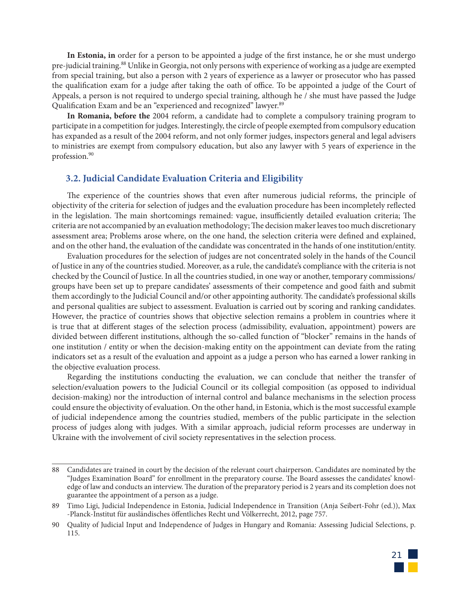**In Estonia, in** order for a person to be appointed a judge of the first instance, he or she must undergo pre-judicial training.88 Unlike in Georgia, not only persons with experience of working as a judge are exempted from special training, but also a person with 2 years of experience as a lawyer or prosecutor who has passed the qualification exam for a judge after taking the oath of office. To be appointed a judge of the Court of Appeals, a person is not required to undergo special training, although he / she must have passed the Judge Qualification Exam and be an "experienced and recognized" lawyer.<sup>89</sup>

**In Romania, before the** 2004 reform, a candidate had to complete a compulsory training program to participate in a competition for judges. Interestingly, the circle of people exempted from compulsory education has expanded as a result of the 2004 reform, and not only former judges, inspectors general and legal advisers to ministries are exempt from compulsory education, but also any lawyer with 5 years of experience in the profession.<sup>90</sup>

#### **3.2. Judicial Candidate Evaluation Criteria and Eligibility**

The experience of the countries shows that even after numerous judicial reforms, the principle of objectivity of the criteria for selection of judges and the evaluation procedure has been incompletely reflected in the legislation. The main shortcomings remained: vague, insufficiently detailed evaluation criteria; The criteria are not accompanied by an evaluation methodology; The decision maker leaves too much discretionary assessment area; Problems arose where, on the one hand, the selection criteria were defined and explained, and on the other hand, the evaluation of the candidate was concentrated in the hands of one institution/entity.

Evaluation procedures for the selection of judges are not concentrated solely in the hands of the Council of Justice in any of the countries studied. Moreover, as a rule, the candidate's compliance with the criteria is not checked by the Council of Justice. In all the countries studied, in one way or another, temporary commissions/ groups have been set up to prepare candidates' assessments of their competence and good faith and submit them accordingly to the Judicial Council and/or other appointing authority. The candidate's professional skills and personal qualities are subject to assessment. Evaluation is carried out by scoring and ranking candidates. However, the practice of countries shows that objective selection remains a problem in countries where it is true that at different stages of the selection process (admissibility, evaluation, appointment) powers are divided between different institutions, although the so-called function of "blocker" remains in the hands of one institution / entity or when the decision-making entity on the appointment can deviate from the rating indicators set as a result of the evaluation and appoint as a judge a person who has earned a lower ranking in the objective evaluation process.

Regarding the institutions conducting the evaluation, we can conclude that neither the transfer of selection/evaluation powers to the Judicial Council or its collegial composition (as opposed to individual decision-making) nor the introduction of internal control and balance mechanisms in the selection process could ensure the objectivity of evaluation. On the other hand, in Estonia, which is the most successful example of judicial independence among the countries studied, members of the public participate in the selection process of judges along with judges. With a similar approach, judicial reform processes are underway in Ukraine with the involvement of civil society representatives in the selection process.

<sup>90</sup> Quality of Judicial Input and Independence of Judges in Hungary and Romania: Assessing Judicial Selections, p. 115.



<sup>88</sup> Candidates are trained in court by the decision of the relevant court chairperson. Candidates are nominated by the "Judges Examination Board" for enrollment in the preparatory course. The Board assesses the candidates' knowledge of law and conducts an interview. The duration of the preparatory period is 2 years and its completion does not guarantee the appointment of a person as a judge.

<sup>89</sup> Timo Ligi, Judicial Independence in Estonia, Judicial Independence in Transition (Anja Seibert-Fohr (ed.)), Max -Planck-Institut für ausländisches öffentliches Recht und Völkerrecht, 2012, page 757.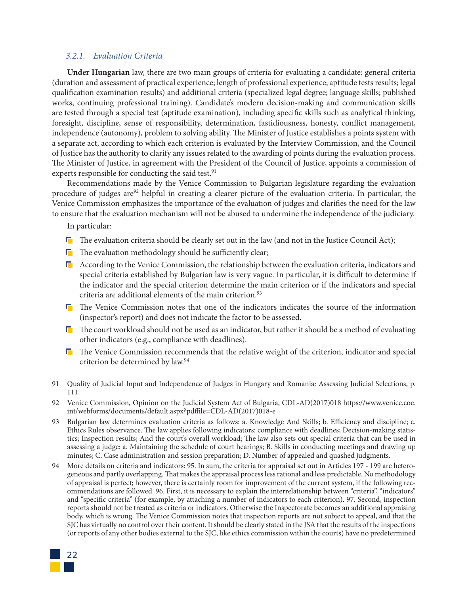#### *3.2.1. Evaluation Criteria*

**Under Hungarian** law, there are two main groups of criteria for evaluating a candidate: general criteria (duration and assessment of practical experience; length of professional experience; aptitude tests results; legal qualification examination results) and additional criteria (specialized legal degree; language skills; published works, continuing professional training). Candidate's modern decision-making and communication skills are tested through a special test (aptitude examination), including specific skills such as analytical thinking, foresight, discipline, sense of responsibility, determination, fastidiousness, honesty, conflict management, independence (autonomy), problem to solving ability. The Minister of Justice establishes a points system with a separate act, according to which each criterion is evaluated by the Interview Commission, and the Council of Justice has the authority to clarify any issues related to the awarding of points during the evaluation process. The Minister of Justice, in agreement with the President of the Council of Justice, appoints a commission of experts responsible for conducting the said test.<sup>91</sup>

Recommendations made by the Venice Commission to Bulgarian legislature regarding the evaluation procedure of judges are<sup>92</sup> helpful in creating a clearer picture of the evaluation criteria. In particular, the Venice Commission emphasizes the importance of the evaluation of judges and clarifies the need for the law to ensure that the evaluation mechanism will not be abused to undermine the independence of the judiciary.

In particular:

- $\blacksquare$  The evaluation criteria should be clearly set out in the law (and not in the Justice Council Act);
- $\blacksquare$  The evaluation methodology should be sufficiently clear;
- $\Gamma$  According to the Venice Commission, the relationship between the evaluation criteria, indicators and special criteria established by Bulgarian law is very vague. In particular, it is difficult to determine if the indicator and the special criterion determine the main criterion or if the indicators and special criteria are additional elements of the main criterion.<sup>93</sup>
- The Venice Commission notes that one of the indicators indicates the source of the information (inspector's report) and does not indicate the factor to be assessed.
- $\blacksquare$  The court workload should not be used as an indicator, but rather it should be a method of evaluating other indicators (e.g., compliance with deadlines).
- $\Gamma$  The Venice Commission recommends that the relative weight of the criterion, indicator and special criterion be determined by law.<sup>94</sup>

<sup>94</sup> More details on criteria and indicators: 95. In sum, the criteria for appraisal set out in Articles 197 - 199 are heterogeneous and partly overlapping. That makes the appraisal process less rational and less predictable. No methodology of appraisal is perfect; however, there is certainly room for improvement of the current system, if the following recommendations are followed. 96. First, it is necessary to explain the interrelationship between "criteria", "indicators" and "specific criteria" (for example, by attaching a number of indicators to each criterion). 97. Second, inspection reports should not be treated as criteria or indicators. Otherwise the Inspectorate becomes an additional appraising body, which is wrong. The Venice Commission notes that inspection reports are not subject to appeal, and that the SJC has virtually no control over their content. It should be clearly stated in the JSA that the results of the inspections (or reports of any other bodies external to the SJC, like ethics commission within the courts) have no predetermined



<sup>91</sup> Quality of Judicial Input and Independence of Judges in Hungary and Romania: Assessing Judicial Selections, p. 111.

<sup>92</sup> Venice Commission, Opinion on the Judicial System Act of Bulgaria, CDL-AD(2017)018 https://www.venice.coe. int/webforms/documents/default.aspx?pdffile=CDL-AD(2017)018-e

<sup>93</sup> Bulgarian law determines evaluation criteria as follows: a. Knowledge And Skills; b. Efficiency and discipline; c. Ethics Rules observance. The law applies following indicators: compliance with deadlines; Decision-making statistics; Inspection results; And the court's overall workload; The law also sets out special criteria that can be used in assessing a judge: a. Maintaining the schedule of court hearings; B. Skills in conducting meetings and drawing up minutes; C. Case administration and session preparation; D. Number of appealed and quashed judgments.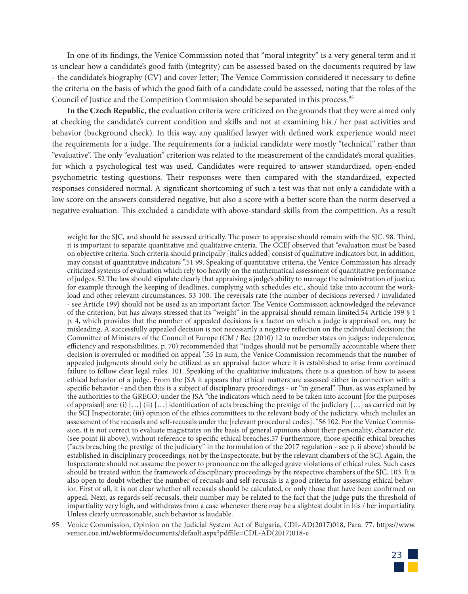In one of its findings, the Venice Commission noted that "moral integrity" is a very general term and it is unclear how a candidate's good faith (integrity) can be assessed based on the documents required by law - the candidate's biography (CV) and cover letter; The Venice Commission considered it necessary to define the criteria on the basis of which the good faith of a candidate could be assessed, noting that the roles of the Council of Justice and the Competition Commission should be separated in this process.<sup>95</sup>

**In the Czech Republic, the** evaluation criteria were criticized on the grounds that they were aimed only at checking the candidate's current condition and skills and not at examining his / her past activities and behavior (background check). In this way, any qualified lawyer with defined work experience would meet the requirements for a judge. The requirements for a judicial candidate were mostly "technical" rather than "evaluative". The only "evaluation" criterion was related to the measurement of the candidate's moral qualities, for which a psychological test was used. Candidates were required to answer standardized, open-ended psychometric testing questions. Their responses were then compared with the standardized, expected responses considered normal. A significant shortcoming of such a test was that not only a candidate with a low score on the answers considered negative, but also a score with a better score than the norm deserved a negative evaluation. This excluded a candidate with above-standard skills from the competition. As a result

<sup>95</sup> Venice Commission, Opinion on the Judicial System Act of Bulgaria, CDL-AD(2017)018, Para. 77. https://www. venice.coe.int/webforms/documents/default.aspx?pdffile=CDL-AD(2017)018-e



weight for the SJC, and should be assessed critically. The power to appraise should remain with the SJC. 98. Third, it is important to separate quantitative and qualitative criteria. The CCEJ observed that "evaluation must be based on objective criteria. Such criteria should principally [italics added] consist of qualitative indicators but, in addition, may consist of quantitative indicators ".51 99. Speaking of quantitative criteria, the Venice Commission has already criticized systems of evaluation which rely too heavily on the mathematical assessment of quantitative performance of judges. 52 The law should stipulate clearly that appraising a judge's ability to manage the administration of justice, for example through the keeping of deadlines, complying with schedules etc., should take into account the workload and other relevant circumstances. 53 100. The reversals rate (the number of decisions reversed / invalidated - see Article 199) should not be used as an important factor. The Venice Commission acknowledged the relevance of the criterion, but has always stressed that its "weight" in the appraisal should remain limited.54 Article 199 § 1 p. 4, which provides that the number of appealed decisions is a factor on which a judge is appraised on, may be misleading. A successfully appealed decision is not necessarily a negative reflection on the individual decision; the Committee of Ministers of the Council of Europe (CM / Rec (2010) 12 to member states on judges: independence, efficiency and responsibilities, p. 70) recommended that "judges should not be personally accountable where their decision is overruled or modified on appeal ".55 In sum, the Venice Commission recommends that the number of appealed judgments should only be utilized as an appraisal factor where it is established to arise from continued failure to follow clear legal rules. 101. Speaking of the qualitative indicators, there is a question of how to assess ethical behavior of a judge. From the JSA it appears that ethical matters are assessed either in connection with a specific behavior - and then this is a subject of disciplinary proceedings - or "in general". Thus, as was explained by the authorities to the GRECO, under the JSA "the indicators which need to be taken into account [for the purposes of appraisal] are: (i)  $[...]$  (ii)  $[...]$  identification of acts breaching the prestige of the judiciary  $[...]$  as carried out by the SCJ Inspectorate; (iii) opinion of the ethics committees to the relevant body of the judiciary, which includes an assessment of the recusals and self-recusals under the [relevant procedural codes]. "56 102. For the Venice Commission, it is not correct to evaluate magistrates on the basis of general opinions about their personality, character etc. (see point iii above), without reference to specific ethical breaches.57 Furthermore, those specific ethical breaches ("acts breaching the prestige of the judiciary" in the formulation of the 2017 regulation - see p. ii above) should be established in disciplinary proceedings, not by the Inspectorate, but by the relevant chambers of the SCJ. Again, the Inspectorate should not assume the power to pronounce on the alleged grave violations of ethical rules. Such cases should be treated within the framework of disciplinary proceedings by the respective chambers of the SJC. 103. It is also open to doubt whether the number of recusals and self-recusals is a good criteria for assessing ethical behavior. First of all, it is not clear whether all recusals should be calculated, or only those that have been confirmed on appeal. Next, as regards self-recusals, their number may be related to the fact that the judge puts the threshold of impartiality very high, and withdraws from a case whenever there may be a slightest doubt in his / her impartiality. Unless clearly unreasonable, such behavior is laudable.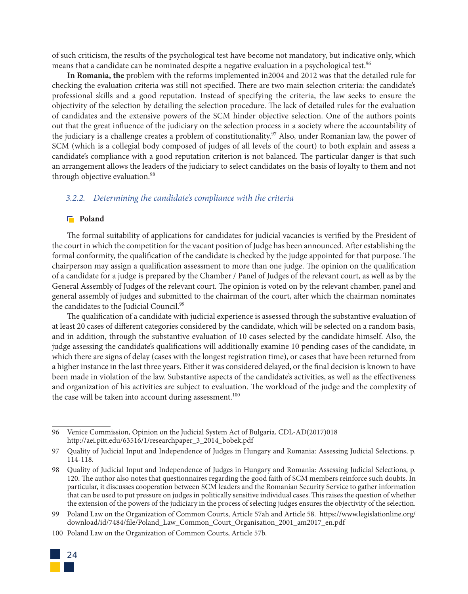of such criticism, the results of the psychological test have become not mandatory, but indicative only, which means that a candidate can be nominated despite a negative evaluation in a psychological test.<sup>96</sup>

**In Romania, the** problem with the reforms implemented in2004 and 2012 was that the detailed rule for checking the evaluation criteria was still not specified. There are two main selection criteria: the candidate's professional skills and a good reputation. Instead of specifying the criteria, the law seeks to ensure the objectivity of the selection by detailing the selection procedure. The lack of detailed rules for the evaluation of candidates and the extensive powers of the SCM hinder objective selection. One of the authors points out that the great influence of the judiciary on the selection process in a society where the accountability of the judiciary is a challenge creates a problem of constitutionality.<sup>97</sup> Also, under Romanian law, the power of SCM (which is a collegial body composed of judges of all levels of the court) to both explain and assess a candidate's compliance with a good reputation criterion is not balanced. The particular danger is that such an arrangement allows the leaders of the judiciary to select candidates on the basis of loyalty to them and not through objective evaluation.<sup>98</sup>

#### *3.2.2. Determining the candidate's compliance with the criteria*

#### **F** Poland

The formal suitability of applications for candidates for judicial vacancies is verified by the President of the court in which the competition for the vacant position of Judge has been announced. After establishing the formal conformity, the qualification of the candidate is checked by the judge appointed for that purpose. The chairperson may assign a qualification assessment to more than one judge. The opinion on the qualification of a candidate for a judge is prepared by the Chamber / Panel of Judges of the relevant court, as well as by the General Assembly of Judges of the relevant court. The opinion is voted on by the relevant chamber, panel and general assembly of judges and submitted to the chairman of the court, after which the chairman nominates the candidates to the Judicial Council.<sup>99</sup>

The qualification of a candidate with judicial experience is assessed through the substantive evaluation of at least 20 cases of different categories considered by the candidate, which will be selected on a random basis, and in addition, through the substantive evaluation of 10 cases selected by the candidate himself. Also, the judge assessing the candidate's qualifications will additionally examine 10 pending cases of the candidate, in which there are signs of delay (cases with the longest registration time), or cases that have been returned from a higher instance in the last three years. Either it was considered delayed, or the final decision is known to have been made in violation of the law. Substantive aspects of the candidate's activities, as well as the effectiveness and organization of his activities are subject to evaluation. The workload of the judge and the complexity of the case will be taken into account during assessment.<sup>100</sup>

<sup>100</sup> Poland Law on the Organization of Common Courts, Article 57b.



<sup>96</sup> Venice Commission, Opinion on the Judicial System Act of Bulgaria, CDL-AD(2017)018 http://aei.pitt.edu/63516/1/researchpaper\_3\_2014\_bobek.pdf

<sup>97</sup> Quality of Judicial Input and Independence of Judges in Hungary and Romania: Assessing Judicial Selections, p. 114-118.

<sup>98</sup> Quality of Judicial Input and Independence of Judges in Hungary and Romania: Assessing Judicial Selections, p. 120. The author also notes that questionnaires regarding the good faith of SCM members reinforce such doubts. In particular, it discusses cooperation between SCM leaders and the Romanian Security Service to gather information that can be used to put pressure on judges in politically sensitive individual cases. This raises the question of whether the extension of the powers of the judiciary in the process of selecting judges ensures the objectivity of the selection.

<sup>99</sup> Poland Law on the Organization of Common Courts, Article 57ah and Article 58. https://www.legislationline.org/ download/id/7484/file/Poland\_Law\_Common\_Court\_Organisation\_2001\_am2017\_en.pdf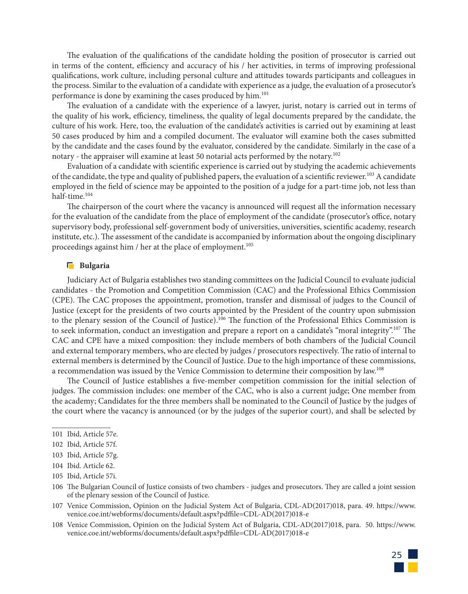The evaluation of the qualifications of the candidate holding the position of prosecutor is carried out in terms of the content, efficiency and accuracy of his / her activities, in terms of improving professional qualifications, work culture, including personal culture and attitudes towards participants and colleagues in the process. Similar to the evaluation of a candidate with experience as a judge, the evaluation of a prosecutor's performance is done by examining the cases produced by him.<sup>101</sup>

The evaluation of a candidate with the experience of a lawyer, jurist, notary is carried out in terms of the quality of his work, efficiency, timeliness, the quality of legal documents prepared by the candidate, the culture of his work. Here, too, the evaluation of the candidate's activities is carried out by examining at least 50 cases produced by him and a compiled document. The evaluator will examine both the cases submitted by the candidate and the cases found by the evaluator, considered by the candidate. Similarly in the case of a notary - the appraiser will examine at least 50 notarial acts performed by the notary.102

Evaluation of a candidate with scientific experience is carried out by studying the academic achievements of the candidate, the type and quality of published papers, the evaluation of a scientific reviewer.<sup>103</sup> A candidate employed in the field of science may be appointed to the position of a judge for a part-time job, not less than half-time $104$ 

The chairperson of the court where the vacancy is announced will request all the information necessary for the evaluation of the candidate from the place of employment of the candidate (prosecutor's office, notary supervisory body, professional self-government body of universities, universities, scientific academy, research institute, etc.). The assessment of the candidate is accompanied by information about the ongoing disciplinary proceedings against him / her at the place of employment.<sup>105</sup>

#### **F** Bulgaria

Judiciary Act of Bulgaria establishes two standing committees on the Judicial Council to evaluate judicial candidates - the Promotion and Competition Commission (CAC) and the Professional Ethics Commission (CPE). The CAC proposes the appointment, promotion, transfer and dismissal of judges to the Council of Justice (except for the presidents of two courts appointed by the President of the country upon submission to the plenary session of the Council of Justice).<sup>106</sup> The function of the Professional Ethics Commission is to seek information, conduct an investigation and prepare a report on a candidate's "moral integrity".<sup>107</sup> The CAC and CPE have a mixed composition: they include members of both chambers of the Judicial Council and external temporary members, who are elected by judges / prosecutors respectively. The ratio of internal to external members is determined by the Council of Justice. Due to the high importance of these commissions, a recommendation was issued by the Venice Commission to determine their composition by law.<sup>108</sup>

The Council of Justice establishes a five-member competition commission for the initial selection of judges. The commission includes: one member of the CAC, who is also a current judge; One member from the academy; Candidates for the three members shall be nominated to the Council of Justice by the judges of the court where the vacancy is announced (or by the judges of the superior court), and shall be selected by

<sup>108</sup> Venice Commission, Opinion on the Judicial System Act of Bulgaria, CDL-AD(2017)018, para. 50. https://www. venice.coe.int/webforms/documents/default.aspx?pdffile=CDL-AD(2017)018-e



<sup>101</sup> Ibid, Article 57e.

<sup>102</sup> Ibid, Article 57f.

<sup>103</sup> Ibid, Article 57g.

<sup>104</sup> Ibid. Article 62.

<sup>105</sup> Ibid, Article 57i.

<sup>106</sup> The Bulgarian Council of Justice consists of two chambers - judges and prosecutors. They are called a joint session of the plenary session of the Council of Justice.

<sup>107</sup> Venice Commission, Opinion on the Judicial System Act of Bulgaria, CDL-AD(2017)018, para. 49. https://www. venice.coe.int/webforms/documents/default.aspx?pdffile=CDL-AD(2017)018-e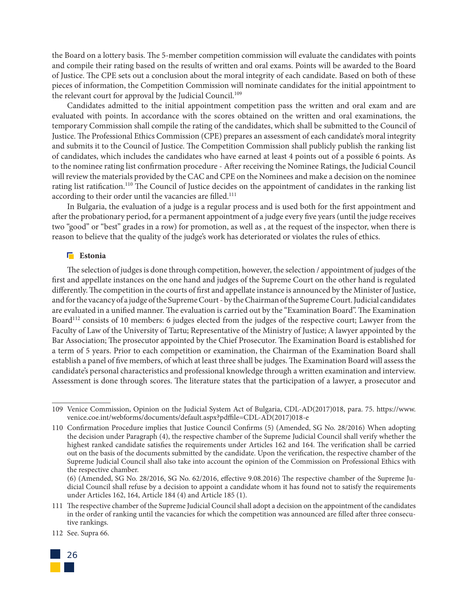the Board on a lottery basis. The 5-member competition commission will evaluate the candidates with points and compile their rating based on the results of written and oral exams. Points will be awarded to the Board of Justice. The CPE sets out a conclusion about the moral integrity of each candidate. Based on both of these pieces of information, the Competition Commission will nominate candidates for the initial appointment to the relevant court for approval by the Judicial Council.<sup>109</sup>

Candidates admitted to the initial appointment competition pass the written and oral exam and are evaluated with points. In accordance with the scores obtained on the written and oral examinations, the temporary Commission shall compile the rating of the candidates, which shall be submitted to the Council of Justice. The Professional Ethics Commission (CPE) prepares an assessment of each candidate's moral integrity and submits it to the Council of Justice. The Competition Commission shall publicly publish the ranking list of candidates, which includes the candidates who have earned at least 4 points out of a possible 6 points. As to the nominee rating list confirmation procedure - After receiving the Nominee Ratings, the Judicial Council will review the materials provided by the CAC and CPE on the Nominees and make a decision on the nominee rating list ratification.<sup>110</sup> The Council of Justice decides on the appointment of candidates in the ranking list according to their order until the vacancies are filled.<sup>111</sup>

In Bulgaria, the evaluation of a judge is a regular process and is used both for the first appointment and after the probationary period, for a permanent appointment of a judge every five years (until the judge receives two "good" or "best" grades in a row) for promotion, as well as , at the request of the inspector, when there is reason to believe that the quality of the judge's work has deteriorated or violates the rules of ethics.

#### **Estonia**

The selection of judges is done through competition, however, the selection / appointment of judges of the first and appellate instances on the one hand and judges of the Supreme Court on the other hand is regulated differently. The competition in the courts of first and appellate instance is announced by the Minister of Justice, and for the vacancy of a judge of the Supreme Court - by the Chairman of the Supreme Court. Judicial candidates are evaluated in a unified manner. The evaluation is carried out by the "Examination Board". The Examination Board<sup>112</sup> consists of 10 members: 6 judges elected from the judges of the respective court; Lawyer from the Faculty of Law of the University of Tartu; Representative of the Ministry of Justice; A lawyer appointed by the Bar Association; The prosecutor appointed by the Chief Prosecutor. The Examination Board is established for a term of 5 years. Prior to each competition or examination, the Chairman of the Examination Board shall establish a panel of five members, of which at least three shall be judges. The Examination Board will assess the candidate's personal characteristics and professional knowledge through a written examination and interview. Assessment is done through scores. The literature states that the participation of a lawyer, a prosecutor and

<sup>112</sup> See. Supra 66.



<sup>109</sup> Venice Commission, Opinion on the Judicial System Act of Bulgaria, CDL-AD(2017)018, para. 75. https://www. venice.coe.int/webforms/documents/default.aspx?pdffile=CDL-AD(2017)018-e

<sup>110</sup> Confirmation Procedure implies that Justice Council Confirms (5) (Amended, SG No. 28/2016) When adopting the decision under Paragraph (4), the respective chamber of the Supreme Judicial Council shall verify whether the highest ranked candidate satisfies the requirements under Articles 162 and 164. The verification shall be carried out on the basis of the documents submitted by the candidate. Upon the verification, the respective chamber of the Supreme Judicial Council shall also take into account the opinion of the Commission on Professional Ethics with the respective chamber.

<sup>(6) (</sup>Amended, SG No. 28/2016, SG No. 62/2016, effective 9.08.2016) The respective chamber of the Supreme Judicial Council shall refuse by a decision to appoint a candidate whom it has found not to satisfy the requirements under Articles 162, 164, Article 184 (4) and Article 185 (1).

<sup>111</sup> The respective chamber of the Supreme Judicial Council shall adopt a decision on the appointment of the candidates in the order of ranking until the vacancies for which the competition was announced are filled after three consecutive rankings.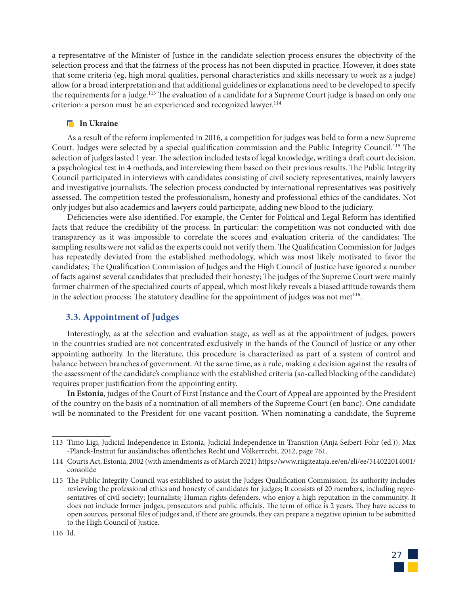a representative of the Minister of Justice in the candidate selection process ensures the objectivity of the selection process and that the fairness of the process has not been disputed in practice. However, it does state that some criteria (eg, high moral qualities, personal characteristics and skills necessary to work as a judge) allow for a broad interpretation and that additional guidelines or explanations need to be developed to specify the requirements for a judge.<sup>113</sup> The evaluation of a candidate for a Supreme Court judge is based on only one criterion: a person must be an experienced and recognized lawyer.<sup>114</sup>

#### **In Ukraine**

As a result of the reform implemented in 2016, a competition for judges was held to form a new Supreme Court. Judges were selected by a special qualification commission and the Public Integrity Council.<sup>115</sup> The selection of judges lasted 1 year. The selection included tests of legal knowledge, writing a draft court decision, a psychological test in 4 methods, and interviewing them based on their previous results. The Public Integrity Council participated in interviews with candidates consisting of civil society representatives, mainly lawyers and investigative journalists. The selection process conducted by international representatives was positively assessed. The competition tested the professionalism, honesty and professional ethics of the candidates. Not only judges but also academics and lawyers could participate, adding new blood to the judiciary.

Deficiencies were also identified. For example, the Center for Political and Legal Reform has identified facts that reduce the credibility of the process. In particular: the competition was not conducted with due transparency as it was impossible to correlate the scores and evaluation criteria of the candidates; The sampling results were not valid as the experts could not verify them. The Qualification Commission for Judges has repeatedly deviated from the established methodology, which was most likely motivated to favor the candidates; The Qualification Commission of Judges and the High Council of Justice have ignored a number of facts against several candidates that precluded their honesty; The judges of the Supreme Court were mainly former chairmen of the specialized courts of appeal, which most likely reveals a biased attitude towards them in the selection process; The statutory deadline for the appointment of judges was not met $1^{16}$ .

#### **3.3. Appointment of Judges**

Interestingly, as at the selection and evaluation stage, as well as at the appointment of judges, powers in the countries studied are not concentrated exclusively in the hands of the Council of Justice or any other appointing authority. In the literature, this procedure is characterized as part of a system of control and balance between branches of government. At the same time, as a rule, making a decision against the results of the assessment of the candidate's compliance with the established criteria (so-called blocking of the candidate) requires proper justification from the appointing entity.

**In Estonia**, judges of the Court of First Instance and the Court of Appeal are appointed by the President of the country on the basis of a nomination of all members of the Supreme Court (en banc). One candidate will be nominated to the President for one vacant position. When nominating a candidate, the Supreme



<sup>113</sup> Timo Ligi, Judicial Independence in Estonia, Judicial Independence in Transition (Anja Seibert-Fohr (ed.)), Max -Planck-Institut für ausländisches öffentliches Recht und Völkerrecht, 2012, page 761.

<sup>114</sup> Courts Act, Estonia, 2002 (with amendments as of March 2021) https://www.riigiteataja.ee/en/eli/ee/514022014001/ consolide

<sup>115</sup> The Public Integrity Council was established to assist the Judges Qualification Commission. Its authority includes reviewing the professional ethics and honesty of candidates for judges; It consists of 20 members, including representatives of civil society; Journalists; Human rights defenders. who enjoy a high reputation in the community. It does not include former judges, prosecutors and public officials. The term of office is 2 years. They have access to open sources, personal files of judges and, if there are grounds, they can prepare a negative opinion to be submitted to the High Council of Justice.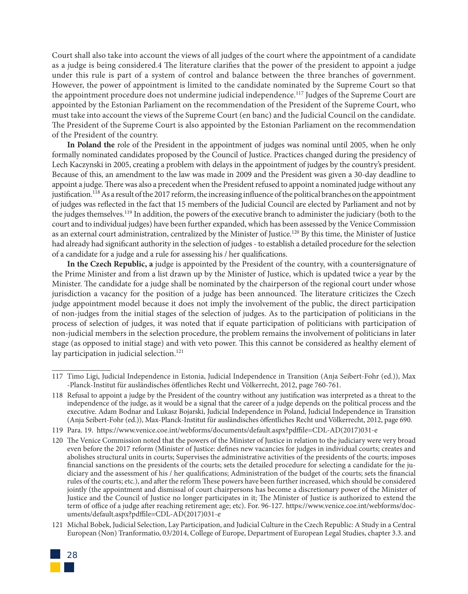Court shall also take into account the views of all judges of the court where the appointment of a candidate as a judge is being considered.4 The literature clarifies that the power of the president to appoint a judge under this rule is part of a system of control and balance between the three branches of government. However, the power of appointment is limited to the candidate nominated by the Supreme Court so that the appointment procedure does not undermine judicial independence.117 Judges of the Supreme Court are appointed by the Estonian Parliament on the recommendation of the President of the Supreme Court, who must take into account the views of the Supreme Court (en banc) and the Judicial Council on the candidate. The President of the Supreme Court is also appointed by the Estonian Parliament on the recommendation of the President of the country.

**In Poland the** role of the President in the appointment of judges was nominal until 2005, when he only formally nominated candidates proposed by the Council of Justice. Practices changed during the presidency of Lech Kaczynski in 2005, creating a problem with delays in the appointment of judges by the country's president. Because of this, an amendment to the law was made in 2009 and the President was given a 30-day deadline to appoint a judge. There was also a precedent when the President refused to appoint a nominated judge without any justification.118 As a result of the 2017 reform, the increasing influence of the political branches on the appointment of judges was reflected in the fact that 15 members of the Judicial Council are elected by Parliament and not by the judges themselves.119 In addition, the powers of the executive branch to administer the judiciary (both to the court and to individual judges) have been further expanded, which has been assessed by the Venice Commission as an external court administration, centralized by the Minister of Justice.<sup>120</sup> By this time, the Minister of Justice had already had significant authority in the selection of judges - to establish a detailed procedure for the selection of a candidate for a judge and a rule for assessing his / her qualifications.

**In the Czech Republic, a** judge is appointed by the President of the country, with a countersignature of the Prime Minister and from a list drawn up by the Minister of Justice, which is updated twice a year by the Minister. The candidate for a judge shall be nominated by the chairperson of the regional court under whose jurisdiction a vacancy for the position of a judge has been announced. The literature criticizes the Czech judge appointment model because it does not imply the involvement of the public, the direct participation of non-judges from the initial stages of the selection of judges. As to the participation of politicians in the process of selection of judges, it was noted that if equate participation of politicians with participation of non-judicial members in the selection procedure, the problem remains the involvement of politicians in later stage (as opposed to initial stage) and with veto power. This this cannot be considered as healthy element of lay participation in judicial selection.<sup>121</sup>

<sup>121</sup> Michal Bobek, Judicial Selection, Lay Participation, and Judicial Culture in the Czech Republic: A Study in a Central European (Non) Tranformatio, 03/2014, College of Europe, Department of European Legal Studies, chapter 3.3. and



<sup>117</sup> Timo Ligi, Judicial Independence in Estonia, Judicial Independence in Transition (Anja Seibert-Fohr (ed.)), Max -Planck-Institut für ausländisches öffentliches Recht und Völkerrecht, 2012, page 760-761.

<sup>118</sup> Refusal to appoint a judge by the President of the country without any justification was interpreted as a threat to the independence of the judge, as it would be a signal that the career of a judge depends on the political process and the executive. Adam Bodnar and Lukasz Bojarski, Judicial Independence in Poland, Judicial Independence in Transition (Anja Seibert-Fohr (ed.)), Max-Planck-Institut für ausländisches öffentliches Recht und Völkerrecht, 2012, page 690.

<sup>119</sup> Para. 19. https://www.venice.coe.int/webforms/documents/default.aspx?pdffile=CDL-AD(2017)031-e

<sup>120</sup> The Venice Commission noted that the powers of the Minister of Justice in relation to the judiciary were very broad even before the 2017 reform (Minister of Justice: defines new vacancies for judges in individual courts; creates and abolishes structural units in courts; Supervises the administrative activities of the presidents of the courts; imposes financial sanctions on the presidents of the courts; sets the detailed procedure for selecting a candidate for the judiciary and the assessment of his / her qualifications; Administration of the budget of the courts; sets the financial rules of the courts; etc.), and after the reform These powers have been further increased, which should be considered jointly (the appointment and dismissal of court chairpersons has become a discretionary power of the Minister of Justice and the Council of Justice no longer participates in it; The Minister of Justice is authorized to extend the term of office of a judge after reaching retirement age; etc). For. 96-127. https://www.venice.coe.int/webforms/documents/default.aspx?pdffile=CDL-AD(2017)031-e